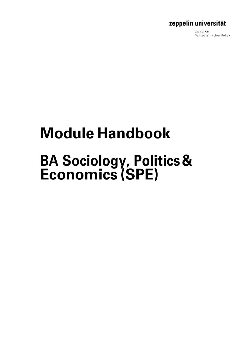zwischen Wirtschaft Kultur Politik

# **Module Handbook**

# **BA Sociology, Politics& Economics (SPE)**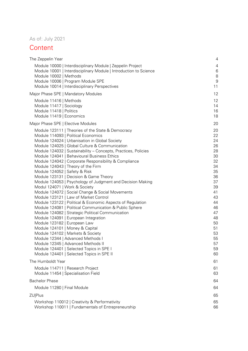### As of: July 2021

### **Content**

| The Zeppelin Year                                                                                                                                                                                                                                                                                                                                                                                                                                                                                                                                                                                                                                                                                                                                                                                                                                                                                                                                                                                                                                                                            | 4                                                                                                                                      |
|----------------------------------------------------------------------------------------------------------------------------------------------------------------------------------------------------------------------------------------------------------------------------------------------------------------------------------------------------------------------------------------------------------------------------------------------------------------------------------------------------------------------------------------------------------------------------------------------------------------------------------------------------------------------------------------------------------------------------------------------------------------------------------------------------------------------------------------------------------------------------------------------------------------------------------------------------------------------------------------------------------------------------------------------------------------------------------------------|----------------------------------------------------------------------------------------------------------------------------------------|
| Module 10000   Interdisciplinary Module   Zeppelin Project<br>Module 10001   Interdisciplinary Module   Introduction to Science<br>Module 10002   Methods<br>Module 10006   Program Module SPE                                                                                                                                                                                                                                                                                                                                                                                                                                                                                                                                                                                                                                                                                                                                                                                                                                                                                               | $\overline{4}$<br>$\,6$<br>8<br>$\boldsymbol{9}$                                                                                       |
| Module 10014   Interdisciplinary Perspectives                                                                                                                                                                                                                                                                                                                                                                                                                                                                                                                                                                                                                                                                                                                                                                                                                                                                                                                                                                                                                                                | 11                                                                                                                                     |
| Major Phase SPE   Mandatory Modules                                                                                                                                                                                                                                                                                                                                                                                                                                                                                                                                                                                                                                                                                                                                                                                                                                                                                                                                                                                                                                                          | 12                                                                                                                                     |
| Module 11416   Methods<br>Module 11417   Sociology<br>Module 11418   Politics                                                                                                                                                                                                                                                                                                                                                                                                                                                                                                                                                                                                                                                                                                                                                                                                                                                                                                                                                                                                                | 12<br>14<br>16                                                                                                                         |
| Module 11419   Economics                                                                                                                                                                                                                                                                                                                                                                                                                                                                                                                                                                                                                                                                                                                                                                                                                                                                                                                                                                                                                                                                     | 18                                                                                                                                     |
| Major Phase SPE   Elective Modules                                                                                                                                                                                                                                                                                                                                                                                                                                                                                                                                                                                                                                                                                                                                                                                                                                                                                                                                                                                                                                                           | 20                                                                                                                                     |
| Module 123111   Theories of the State & Democracy<br>Module 114093   Political Economics<br>Module 124024   Urbanisation in Global Society<br>Module 124025   Global Culture & Communication<br>Module 124032   Sustainability - Concepts, Practices, Policies<br>Module 124041   Behavioural Business Ethics<br>Module 124042   Corporate Responsibility & Compliance<br>Module 124043   Theory of the Firm<br>Module 124052   Safety & Risk<br>Module 123131   Decision & Game Theory<br>Module 124053   Psychology of Judgment and Decision Making<br>Modul 124071   Work & Society<br>Module 124072   Social Change & Social Movements<br>Module 123121   Law of Market Control<br>Module 123122   Political & Economic Aspects of Regulation<br>Module 124081   Political Communication & Public Sphere<br>Module 124082   Strategic Political Communication<br>Module 124091   European Integration<br>Module 123182   European Law<br>Module 124101   Money & Capital<br>Module 124102   Markets & Society<br>Module 12344   Advanced Methods  <br>Module 12345   Advanced Methods II | 20<br>22<br>24<br>26<br>28<br>30<br>32<br>34<br>35<br>36<br>37<br>39<br>41<br>43<br>44<br>46<br>47<br>48<br>50<br>51<br>53<br>55<br>57 |
| Module 124401   Selected Topics in SPE I                                                                                                                                                                                                                                                                                                                                                                                                                                                                                                                                                                                                                                                                                                                                                                                                                                                                                                                                                                                                                                                     | 59                                                                                                                                     |
| Module 124401   Selected Topics in SPE II                                                                                                                                                                                                                                                                                                                                                                                                                                                                                                                                                                                                                                                                                                                                                                                                                                                                                                                                                                                                                                                    | 60                                                                                                                                     |
| The Humboldt Year                                                                                                                                                                                                                                                                                                                                                                                                                                                                                                                                                                                                                                                                                                                                                                                                                                                                                                                                                                                                                                                                            | 61                                                                                                                                     |
| Module 114711   Research Project<br>Module 11454   Specialisation Field                                                                                                                                                                                                                                                                                                                                                                                                                                                                                                                                                                                                                                                                                                                                                                                                                                                                                                                                                                                                                      | 61<br>63                                                                                                                               |
| <b>Bachelor Phase</b>                                                                                                                                                                                                                                                                                                                                                                                                                                                                                                                                                                                                                                                                                                                                                                                                                                                                                                                                                                                                                                                                        | 64                                                                                                                                     |
| Module 11280   Final Module                                                                                                                                                                                                                                                                                                                                                                                                                                                                                                                                                                                                                                                                                                                                                                                                                                                                                                                                                                                                                                                                  | 64                                                                                                                                     |
| <b>ZU Plus</b>                                                                                                                                                                                                                                                                                                                                                                                                                                                                                                                                                                                                                                                                                                                                                                                                                                                                                                                                                                                                                                                                               | 65                                                                                                                                     |
| Workshop 110012   Creativity & Performativity<br>Workshop 110011   Fundamentals of Entrepreneurship                                                                                                                                                                                                                                                                                                                                                                                                                                                                                                                                                                                                                                                                                                                                                                                                                                                                                                                                                                                          | 65<br>66                                                                                                                               |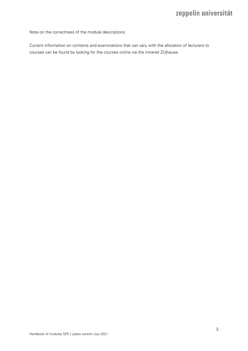Note on the correctness of the module descriptions

Current information on contents and examinations that can vary with the allocation of lecturers to courses can be found by looking for the courses online via the intranet ZU|hause.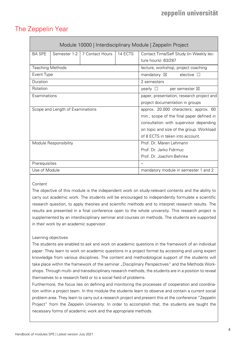# <span id="page-3-0"></span>The Zeppelin Year

<span id="page-3-1"></span>

|                                  | Module 10000   Interdisciplinary Module   Zeppelin Project |                 |                                       |                                                  |  |  |
|----------------------------------|------------------------------------------------------------|-----------------|---------------------------------------|--------------------------------------------------|--|--|
| <b>BA SPE</b>                    | Semester 1-2                                               | 7 Contact Hours | 14 ECTS                               | Contact Time/Self Study (in Weekly lec-          |  |  |
|                                  |                                                            |                 |                                       | ture hours): 63/287                              |  |  |
| <b>Teaching Methods</b>          |                                                            |                 |                                       | lecture, workshop, project coaching              |  |  |
| Event Type                       |                                                            |                 |                                       | elective $\Box$<br>mandatory $\boxtimes$         |  |  |
| Duration                         |                                                            |                 |                                       | 2 semesters                                      |  |  |
| Rotation                         |                                                            |                 |                                       | $\vee$ vearly $\Box$<br>per semester $\boxtimes$ |  |  |
| Examinations                     |                                                            |                 |                                       | paper, presentation, research project and        |  |  |
|                                  |                                                            |                 | project documentation in groups       |                                                  |  |  |
| Scope and Length of Examinations |                                                            |                 | approx. 20.000 characters; approx. 60 |                                                  |  |  |
|                                  |                                                            |                 |                                       | min.; scope of the final paper defined in        |  |  |
|                                  |                                                            |                 |                                       | consultation with supervisor depending           |  |  |
|                                  |                                                            |                 |                                       | on topic and size of the group. Workload         |  |  |
|                                  |                                                            |                 |                                       | of 8 ECTS in taken into account.                 |  |  |
| Module Responsibility            |                                                            |                 |                                       | Prof. Dr. Maren Lehmann                          |  |  |
|                                  |                                                            |                 |                                       | Prof. Dr. Jarko Fidrmuc                          |  |  |
|                                  |                                                            |                 |                                       | Prof. Dr. Joachim Behnke                         |  |  |
| Prerequisites                    |                                                            |                 |                                       |                                                  |  |  |
| Use of Module                    |                                                            |                 |                                       | mandatory module in semester 1 and 2             |  |  |

### **Content**

The objective of this module is the independent work on study-relevant contents and the ability to carry out academic work. The students will be encouraged to independently formulate a scientific research question, to apply theories and scientific methods and to interpret research results. The results are presented in a final conference open to the whole university. This research project is supplemented by an interdisciplinary seminar and courses on methods. The students are supported in their work by an academic supervisor.

### Learning objectives

The students are enabled to ask and work on academic questions in the framework of an individual paper. They learn to work on academic questions in a project format by accessing and using expert knowledge from various disciplines. The content and methodological support of the students will take place within the framework of the seminar "Disciplinary Perspectives" and the Methods Workshops. Through multi- and transdisciplinary research methods, the students are in a position to reveal themselves to a research field or to a social field of problems.

Furthermore, the focus lies on defining and monitoring the processes of cooperation and coordination within a project team. In this module the students learn to observe and contain a current social problem area. They learn to carry out a research project and present this at the conference "Zeppelin Project" from the Zeppelin University. In order to accomplish that, the students are taught the necessary forms of academic work and the appropriate methods.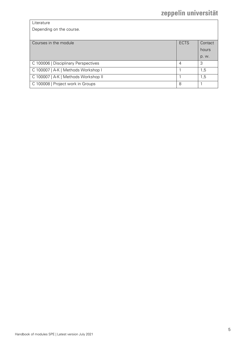| Literature |
|------------|
|------------|

Depending on the course.

| Courses in the module                | <b>ECTS</b> | Contact |
|--------------------------------------|-------------|---------|
|                                      |             | hours   |
|                                      |             | p. w.   |
| C 100006   Disciplinary Perspectives | 4           | 3       |
| C 100007   A-K   Methods Workshop I  |             | 1,5     |
| C 100007   A-K   Methods Workshop II |             | 1,5     |
| C 100008   Project work in Groups    | 8           |         |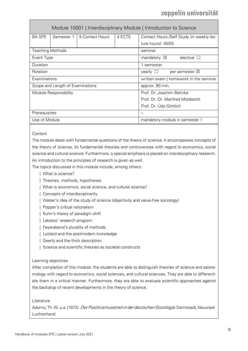<span id="page-5-0"></span>

|                                  |            | Module 10001   Interdisciplinary Module   Introduction to Science |                          |                                              |  |
|----------------------------------|------------|-------------------------------------------------------------------|--------------------------|----------------------------------------------|--|
| <b>BA SPE</b>                    | Semester 1 | 5 Contact Hours                                                   | 4 ECTS                   | Contact Hours /Self Study (in weekly lec-    |  |
|                                  |            |                                                                   |                          | ture hours): 45/55                           |  |
| <b>Teaching Methods</b>          |            |                                                                   |                          | seminar                                      |  |
| Event Type                       |            |                                                                   |                          | elective $\Box$<br>mandatory $\boxtimes$     |  |
| Duration                         |            |                                                                   |                          | semester                                     |  |
| Rotation                         |            |                                                                   |                          | yearly $\square$<br>per semester $\boxtimes$ |  |
| Examinations                     |            |                                                                   |                          | written exam   homework in the seminar       |  |
| Scope and Length of Examinations |            |                                                                   |                          | approx. 90 min.                              |  |
| Module Responsibility            |            |                                                                   | Prof. Dr. Joachim Behnke |                                              |  |
|                                  |            |                                                                   |                          | Prof. Dr. Dr. Manfred Moldaschl              |  |
|                                  |            |                                                                   |                          | Prof. Dr. Udo Göttlich                       |  |
| Prerequisites                    |            |                                                                   |                          |                                              |  |
| Use of Module                    |            |                                                                   |                          | mandatory module in semester 1               |  |

### **Content**

The module deals with fundamental questions of the theory of science. It encompasses concepts of the theory of science, its fundamental theories and controversies with regard to economics, social science and cultural science. Furthermore, a special emphasis is placed on interdisciplinary research. An introduction to the principles of research is given as well.

The topics discussed in this module include, among others:

- | What is science?
- | Theories, methods, hypotheses
- | What is economics, social science, and cultural science?
- | Concepts of interdisciplinarity
- | Weber's idea of the study of science (objectivity and value-free sociology)
- | Popper's critical rationalism
- | Kuhn's theory of paradigm shift
- | Lakatos' research program
- | Feyerabend's plurality of methods
- | Lyotard and the postmodern knowledge
- | Geertz and the thick description
- | Science and scientific theories as societal constructs

### Learning objectives

After completion of this module, the students are able to distinguish theories of science and epistemology with regard to economics, social sciences, and cultural sciences. They are able to differentiate them in a critical manner. Furthermore, they are able to evaluate scientific approaches against the backdrop of recent developments in the theory of science.

### **Literature**

Adorno, Th. W. u.a. (1972). Der Positivismusstreit in der deutschen Soziologie. Darmstadt, Neuwied: Luchterhand.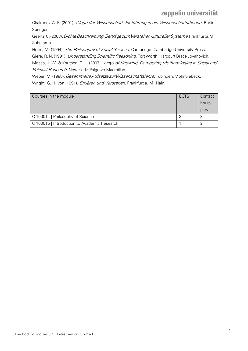Chalmers, A. F. (2001). Wege der Wissenschaft: Einführung in die Wissenschaftstheorie. Berlin: Springer.

Geertz, C. (2003). Dichte Beschreibung. Beiträgezum Verstehen kultureller Systeme. Frankfurta.M.: Suhrkamp.

Hollis, M. (1994). The Philosophy of Social Science. Cambridge: Cambridge University Press.

Giere, R. N. (1991). Understanding Scientific Reasoning. Fort Worth: Harcourt Brace Jovanovich.

Moses, J. W. & Knutsen, T. L. (2007). Ways of Knowing. Competing Methodologies in Social and Political Research. New York: Palgrave Macmillan.

Weber, M. (1988). Gesammelte Aufsätze zur Wissenschaftslehre. Tübingen: Mohr Siebeck. Wright, G. H. von (1991). Erklären und Verstehen. Frankfurt a. M.: Hain.

| Courses in the module                        | ECTS | Contact |
|----------------------------------------------|------|---------|
|                                              |      | hours   |
|                                              |      | p. w.   |
| C 100014   Philosophy of Science             |      | P       |
| C 100015   Introduction to Academic Research |      |         |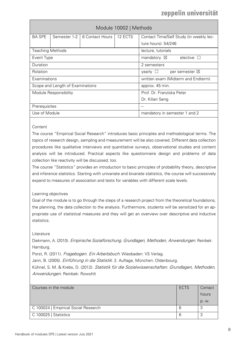<span id="page-7-0"></span>

|                                  | Module 10002   Methods |                 |                                                  |                                              |  |  |
|----------------------------------|------------------------|-----------------|--------------------------------------------------|----------------------------------------------|--|--|
| <b>BA SPE</b>                    | Semester 1-2           | 6 Contact Hours | 12 ECTS                                          | Contact Time/Self Study (in weekly lec-      |  |  |
|                                  |                        |                 |                                                  | ture hours): 54/246                          |  |  |
| <b>Teaching Methods</b>          |                        |                 |                                                  | lecture, tutorials                           |  |  |
| Event Type                       |                        |                 |                                                  | elective<br>mandatory $\boxtimes$<br>$\perp$ |  |  |
| Duration                         |                        |                 | 2 semesters                                      |                                              |  |  |
| Rotation                         |                        |                 | $\mathsf{year} \cup$<br>per semester $\boxtimes$ |                                              |  |  |
| Examinations                     |                        |                 | written exam (Midterm and Endterm)               |                                              |  |  |
| Scope and Length of Examinations |                        |                 | approx. 45 min.                                  |                                              |  |  |
| Module Responsibility            |                        |                 | Prof. Dr. Franziska Peter                        |                                              |  |  |
|                                  |                        |                 | Dr. Kilian Seng                                  |                                              |  |  |
| Prerequisites                    |                        |                 |                                                  |                                              |  |  |
| Use of Module                    |                        |                 | mandatory in semester 1 and 2                    |                                              |  |  |

### **Content**

The course "Empirical Social Research" introduces basic principles and methodological terms. The topics of research design, sampling and measurement will be also covered. Different data collection procedures like qualitative interviews and quantitative surveys, observational studies and content analysis will be introduced. Practical aspects like questionnaire design and problems of data collection like reactivity will be discussed, too.

The course "Statistics" provides an introduction to basic principles of probability theory, descriptive and inference statistics. Starting with univariate and bivariate statistics, the course will successively expand to measures of association and tests for variables with different scale levels.

### Learning objectives

Goal of the module is to go through the steps of a research project from the theoretical foundations, the planning, the data collection to the analysis. Furthermore, students will be sensitized for an appropriate use of statistical measures and they will get an overview over descriptive and inductive statistics.

### Literature

Diekmann, A. (2010). Empirische Sozialforschung. Grundlagen, Methoden, Anwendungen. Reinbek: Hamburg.

Porst, R. (2011). Fragebogen. Ein Arbeitsbuch. Wiesbaden: VS Verlag.

Jann, B. (2005). Einführung in die Statistik. 2. Auflage, München: Oldenbourg.

Kühnel, S. M. & Krebs, D. (2012). Statistik für die Sozialwissenschaften. Grundlagen, Methoden, Anwendungen. Reinbek: Rowohlt

| Courses in the module                | ECTS | Contact      |
|--------------------------------------|------|--------------|
|                                      |      | hours        |
|                                      |      | p. w.        |
| C 100024   Empirical Social Research | 6    | $\mathbf{r}$ |
| C 100025   Statistics                | 6    | $\sim$       |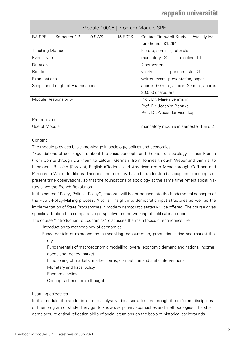<span id="page-8-0"></span>

| Module 10006   Program Module SPE |              |       |                                           |                                           |  |
|-----------------------------------|--------------|-------|-------------------------------------------|-------------------------------------------|--|
| <b>BA SPE</b>                     | Semester 1-2 | 9 SWS | 15 ECTS                                   | Contact Time/Self Study (in Weekly lec-   |  |
|                                   |              |       |                                           | ture hours): 81/294                       |  |
| <b>Teaching Methods</b>           |              |       |                                           | lecture, seminar, tutorials               |  |
| Event Type                        |              |       |                                           | mandatory $\boxtimes$<br>elective $\Box$  |  |
| Duration                          |              |       |                                           | 2 semesters                               |  |
| Rotation                          |              |       |                                           | yearly $\Box$<br>per semester $\boxtimes$ |  |
| Examinations                      |              |       |                                           | written exam, presentation, paper         |  |
| Scope and Length of Examinations  |              |       | approx. 60 min., approx. 20 min., approx. |                                           |  |
|                                   |              |       |                                           | 20.000 characters                         |  |
| Module Responsibility             |              |       | Prof. Dr. Maren Lehmann                   |                                           |  |
|                                   |              |       |                                           | Prof. Dr. Joachim Behnke                  |  |
|                                   |              |       |                                           | Prof. Dr. Alexander Eisenkopf             |  |
| Prerequisites                     |              |       |                                           |                                           |  |
| Use of Module                     |              |       | mandatory module in semester 1 and 2      |                                           |  |

### **Content**

The module provides basic knowledge in sociology, politics and economics.

"Foundations of sociology" is about the basic concepts and theories of sociology in their French (from Comte through Durkheim to Latour), German (from Tönnies through Weber and Simmel to Luhmann), Russian (Sorokin), English (Giddens) and American (from Mead through Goffman and Parsons to White) traditions. Theories and terms will also be understood as diagnostic concepts of present time observations, so that the foundations of sociology at the same time reflect social history since the French Revolution.

In the course "Polity, Politics, Policy", students will be introduced into the fundamental concepts of the Public-Policy-Making process. Also, an insight into democratic input structures as well as the implementation of State Programmes in modern democratic states will be offered. The course gives specific attention to a comparative perspective on the working of political institutions.

The course "Introduction to Economics" discusses the main topics of economics like:

- | Introduction to methodology of economics
- | Fundamentals of microeconomic modelling: consumption, production, price and market theory
- | Fundamentals of macroeconomic modelling: overall economic demand and national income, goods and money market
- Functioning of markets: market forms, competition and state interventions
- Monetary and fiscal policy
- Economic policy
- Concepts of economic thought

### Learning objectives

In this module, the students learn to analyse various social issues through the different disciplines of their program of study. They get to know disciplinary approaches and methodologies. The students acquire critical reflection skills of social situations on the basis of historical backgrounds.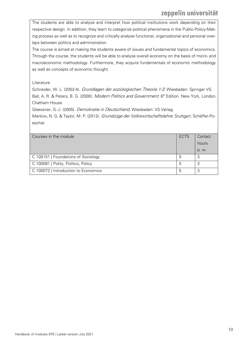The students are able to analyse and interpret how political institutions work depending on their respective design. In addition, they learn to categorize political phenomena in the Public-Policy-Making process as well as to recognize and critically analyse functional, organizational and personal overlaps between politics and administration.

The course is aimed at making the students aware of issues and fundamental topics of economics. Through the course, the students will be able to analyse overall economy on the basis of micro- and macroeconomic methodology. Furthermore, they acquire fundamentals of economic methodology as well as concepts of economic thought.

### Literature

Schneider, W. L. (2002-4). Grundlagen der soziologischen Theorie 1-3. Wiesbaden: Springer VS. Ball, A. R. & Peters, B. G. (2000). Modern Politics and Government. 6<sup>th</sup> Edition. New York, London. Chatham House.

Glaessner, G.-J. (2005). *Demokratie in Deutschland.* Wiesbaden: VS Verlag.

Mankiw, N. G. & Taylor, M. P. (2012). Grundzüge der Volkswirtschaftslehre. Stuttgart: Schäffer-Poeschel.

| Courses in the module                | <b>ECTS</b> | Contact |
|--------------------------------------|-------------|---------|
|                                      |             | hours   |
|                                      |             | p. w.   |
| C 100151   Foundations of Sociology  | 5           | っ       |
| C 100091   Polity, Politics, Policy  | 5           | ◠       |
| C 100072   Introduction to Economics | 5           |         |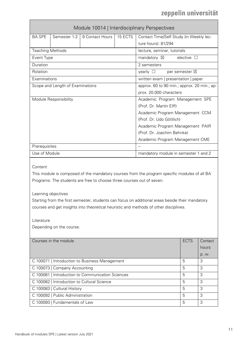<span id="page-10-0"></span>

|                                                                                                                                                                                                                                                                                                                                                                                                                                               | Module 10014   Interdisciplinary Perspectives |                                                   |                                      |                                             |                          |       |
|-----------------------------------------------------------------------------------------------------------------------------------------------------------------------------------------------------------------------------------------------------------------------------------------------------------------------------------------------------------------------------------------------------------------------------------------------|-----------------------------------------------|---------------------------------------------------|--------------------------------------|---------------------------------------------|--------------------------|-------|
| <b>BA SPE</b>                                                                                                                                                                                                                                                                                                                                                                                                                                 | Semester 1-2                                  | 9 Contact Hours                                   | 15 ECTS                              | Contact Time/Self Study (in Weekly lec-     |                          |       |
|                                                                                                                                                                                                                                                                                                                                                                                                                                               |                                               |                                                   |                                      | ture hours): 81/294                         |                          |       |
| <b>Teaching Methods</b>                                                                                                                                                                                                                                                                                                                                                                                                                       |                                               |                                                   |                                      | lecture, seminar, tutorials                 |                          |       |
| Event Type                                                                                                                                                                                                                                                                                                                                                                                                                                    |                                               |                                                   |                                      | mandatory $\boxtimes$                       | elective $\square$       |       |
| Duration                                                                                                                                                                                                                                                                                                                                                                                                                                      |                                               |                                                   |                                      | 2 semesters                                 |                          |       |
| Rotation                                                                                                                                                                                                                                                                                                                                                                                                                                      |                                               |                                                   |                                      | yearly $\Box$                               | per semester $\boxtimes$ |       |
| Examinations                                                                                                                                                                                                                                                                                                                                                                                                                                  |                                               |                                                   |                                      | written exam   presentation   paper         |                          |       |
|                                                                                                                                                                                                                                                                                                                                                                                                                                               | Scope and Length of Examinations              |                                                   |                                      | approx. 60 to 90 min.; approx. 20 min.; ap- |                          |       |
|                                                                                                                                                                                                                                                                                                                                                                                                                                               |                                               |                                                   |                                      | prox. 20.000 characters                     |                          |       |
|                                                                                                                                                                                                                                                                                                                                                                                                                                               | Module Responsibility                         |                                                   |                                      | Academic Program Management SPE             |                          |       |
|                                                                                                                                                                                                                                                                                                                                                                                                                                               |                                               |                                                   |                                      | (Prof. Dr. Martin Elff)                     |                          |       |
|                                                                                                                                                                                                                                                                                                                                                                                                                                               |                                               |                                                   |                                      | Academic Program Management CCM             |                          |       |
|                                                                                                                                                                                                                                                                                                                                                                                                                                               |                                               |                                                   |                                      | (Prof. Dr. Udo Göttlich)                    |                          |       |
|                                                                                                                                                                                                                                                                                                                                                                                                                                               |                                               |                                                   |                                      | Academic Program Management PAIR            |                          |       |
|                                                                                                                                                                                                                                                                                                                                                                                                                                               |                                               |                                                   |                                      | (Prof. Dr. Joachim Behnke)                  |                          |       |
|                                                                                                                                                                                                                                                                                                                                                                                                                                               |                                               |                                                   |                                      | Academic Program Management CME             |                          |       |
| Prerequisites                                                                                                                                                                                                                                                                                                                                                                                                                                 |                                               |                                                   |                                      |                                             |                          |       |
| Use of Module                                                                                                                                                                                                                                                                                                                                                                                                                                 |                                               |                                                   | mandatory module in semester 1 and 2 |                                             |                          |       |
| Content<br>This module is composed of the mandatory courses from the program specific modules of all BA<br>Programs. The students are free to choose three courses out of seven.<br>Learning objectives<br>Starting from the first semester, students can focus on additional areas beside their mandatory<br>courses and get insights into theoretical heuristic and methods of other disciplines.<br>Literature<br>Depending on the course. |                                               |                                                   |                                      |                                             |                          |       |
| Courses in the module                                                                                                                                                                                                                                                                                                                                                                                                                         |                                               |                                                   |                                      | <b>ECTS</b>                                 | Contact                  |       |
|                                                                                                                                                                                                                                                                                                                                                                                                                                               |                                               |                                                   |                                      |                                             |                          | hours |
|                                                                                                                                                                                                                                                                                                                                                                                                                                               |                                               |                                                   |                                      |                                             |                          | p. w. |
|                                                                                                                                                                                                                                                                                                                                                                                                                                               |                                               | C 100071   Introduction to Business Management    |                                      |                                             | 5                        | 3     |
|                                                                                                                                                                                                                                                                                                                                                                                                                                               | C 100073   Company Accounting                 |                                                   |                                      |                                             | 5                        | 3     |
|                                                                                                                                                                                                                                                                                                                                                                                                                                               |                                               | C 100081   Introduction to Communication Sciences |                                      |                                             | 5                        | 3     |
| C 100082   Introduction to Cultural Science                                                                                                                                                                                                                                                                                                                                                                                                   |                                               |                                                   |                                      | 5                                           | 3                        |       |

C 100083 | Cultural History 5 3 C 100092 | Public Administration 5 3 C 100093 | Fundamentals of Law 5 3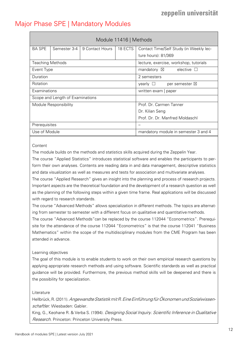### <span id="page-11-0"></span>Major Phase SPE | Mandatory Modules

<span id="page-11-1"></span>

|                                  | Module 11416   Methods |                 |                                           |                                             |  |  |
|----------------------------------|------------------------|-----------------|-------------------------------------------|---------------------------------------------|--|--|
| <b>BA SPE</b>                    | Semester 3-4           | 9 Contact Hours | 18 ECTS                                   | Contact Time/Self Study (in Weekly lec-     |  |  |
|                                  |                        |                 |                                           | ture hours): 81/369                         |  |  |
| <b>Teaching Methods</b>          |                        |                 |                                           | lecture, exercise, workshop, tutorials      |  |  |
| Event Type                       |                        |                 |                                           | mandatory $\boxtimes$<br>elective $\square$ |  |  |
| Duration                         |                        |                 |                                           | 2 semesters                                 |  |  |
| Rotation                         |                        |                 | yearly $\Box$<br>per semester $\boxtimes$ |                                             |  |  |
| Examinations                     |                        |                 | written exam   paper                      |                                             |  |  |
| Scope and Length of Examinations |                        |                 |                                           |                                             |  |  |
| Module Responsibility            |                        |                 | Prof. Dr. Carmen Tanner                   |                                             |  |  |
|                                  |                        |                 | Dr. Kilian Seng                           |                                             |  |  |
|                                  |                        |                 |                                           | Prof. Dr. Dr. Manfred Moldaschl             |  |  |
| Prerequisites                    |                        |                 |                                           |                                             |  |  |
| Use of Module                    |                        |                 | mandatory module in semester 3 and 4      |                                             |  |  |

### Content

The module builds on the methods and statistics skills acquired during the Zeppelin Year.

The course "Applied Statistics" introduces statistical software and enables the participants to perform their own analyses. Contents are reading data in and data management, descriptive statistics and data visualization as well as measures and tests for association and multivariate analyses.

The course "Applied Research" gives an insight into the planning and process of research projects. Important aspects are the theoretical foundation and the development of a research question as well as the planning of the following steps within a given time frame. Real applications will be discussed with regard to research standards.

The course "Advanced Methods" allows specialization in different methods. The topics are alternating from semester to semester with a different focus on qualitative and quantitative methods.

The course "Advanced Methods"can be replaced by the course 112044 "Econometrics". Prerequisite for the attendance of the course 112044 "Econometrics" is that the course 112041 "Business Mathematics" within the scope of the multidisciplinary modules from the CME Program has been attended in advance.

### Learning objectives

The goal of this module is to enable students to work on their own empirical research questions by applying appropriate research methods and using software. Scientific standards as well as practical guidance will be provided. Furthermore, the previous method skills will be deepened and there is the possibility for specialization.

### **Literature**

Hellbrück, R. (2011). Angewandte Statistik mit R. Eine Einführung für Ökonomen und Sozialwissenschaftler. Wiesbaden: Gabler.

King, G., Keohane R. & Verba S. (1994). *Designing Social Inquiry. Scientific Inference in Qualitative* Research. Princeton: Princeton University Press.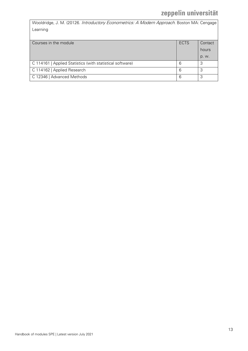Wooldridge, J. M. (20126. Introductory Econometrics: A Modern Approach. Boston MA: Cengage Learning

| Courses in the module                                     | <b>ECTS</b> | Contact |
|-----------------------------------------------------------|-------------|---------|
|                                                           |             | hours   |
|                                                           |             | p. w.   |
| C 114161   Applied Statistics (with statistical software) | 6           | 3       |
| C 114162   Applied Research                               | 6           | 3       |
| C 12346   Advanced Methods                                | 6           |         |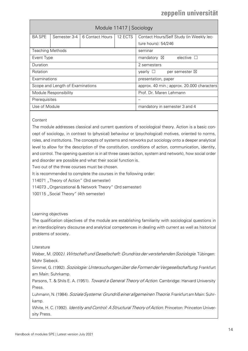<span id="page-13-0"></span>

|                                  | Module 11417   Sociology |                 |                                            |                                           |  |  |
|----------------------------------|--------------------------|-----------------|--------------------------------------------|-------------------------------------------|--|--|
| <b>BA SPE</b>                    | Semester 3-4             | 6 Contact Hours | 12 ECTS                                    | Contact Hours/Self Study (in Weekly lec-  |  |  |
|                                  |                          |                 |                                            | ture hours): 54/246                       |  |  |
| <b>Teaching Methods</b>          |                          |                 |                                            | seminar                                   |  |  |
| Event Type                       |                          |                 | elective $\Box$<br>mandatory $\boxtimes$   |                                           |  |  |
| Duration                         |                          |                 | 2 semesters                                |                                           |  |  |
| Rotation                         |                          |                 |                                            | yearly $\Box$<br>per semester $\boxtimes$ |  |  |
| Examinations                     |                          |                 |                                            | presentation, paper                       |  |  |
| Scope and Length of Examinations |                          |                 | approx. 40 min.; approx. 20.000 characters |                                           |  |  |
| Module Responsibility            |                          |                 | Prof. Dr. Maren Lehmann                    |                                           |  |  |
| Prerequisites                    |                          |                 |                                            |                                           |  |  |
| Use of Module                    |                          |                 |                                            | mandatory in semester 3 and 4             |  |  |

### **Content**

The module addresses classical and current questions of sociological theory. Action is a basic concept of sociology, in contrast to (physical) behaviour or (psychological) motives, oriented to norms, roles, and institutions. The concepts of systems and networks put sociology onto a deeper analytical level to allow for the description of the constitution, conditions of action, communication, identity, and control. The opening question is in all three cases (action, system and network), how social order and disorder are possible and what their social function is.

Two out of the three courses must be chosen.

It is recommended to complete the courses in the following order:

114071 "Theory of Action" (3rd semester)

114073 "Organizational & Network Theory" (3rd semester)

100115 "Social Theory" (4th semester)

### Learning objectives

The qualification objectives of the module are establishing familiarity with sociological questions in an interdisciplinary discourse and analytical competences in dealing with current as well as historical problems of society.

### Literature

Weber, M. (2002). Wirtschaft und Gesellschaft: Grundriss der verstehenden Soziologie. Tübingen: Mohr Siebeck.

Simmel, G. (1992). Soziologie: Untersuchungen über die Formen der Vergesellschaftung. Frankfurt am Main: Suhrkamp.

Parsons, T. & Shils E. A. (1951). *Toward a General Theory of Action*. Cambridge: Harvard University Press.

Luhmann, N. (1984). Soziale Systeme: Grundriß einer allgemeinen Theorie. Frankfurt am Main: Suhrkamp.

White, H. C. (1992). Identity and Control: A Structural Theory of Action. Princeton: Princeton University Press.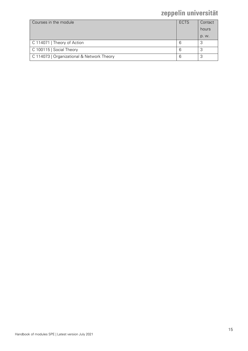| Courses in the module                      | <b>ECTS</b> | Contact |
|--------------------------------------------|-------------|---------|
|                                            |             | hours   |
|                                            |             | p. w.   |
| C 114071   Theory of Action                | 6           | 3       |
| C 100115   Social Theory                   | 6           | 3       |
| C 114073   Organizational & Network Theory | 6           | 3       |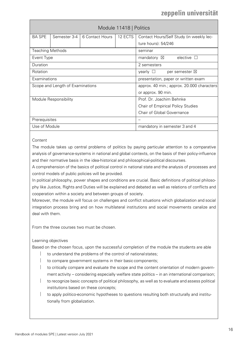<span id="page-15-0"></span>

| Module 11418   Politics          |              |                 |                                            |                                             |
|----------------------------------|--------------|-----------------|--------------------------------------------|---------------------------------------------|
| <b>BA SPE</b>                    | Semester 3-4 | 6 Contact Hours | 12 ECTS                                    | Contact Hours/Self Study (in weekly lec-    |
|                                  |              |                 |                                            | ture hours): 54/246                         |
| <b>Teaching Methods</b>          |              |                 |                                            | seminar                                     |
| Event Type                       |              |                 |                                            | mandatory $\boxtimes$<br>elective $\square$ |
| Duration                         |              |                 |                                            | 2 semesters                                 |
| Rotation                         |              |                 | yearly $\Box$<br>per semester $\boxtimes$  |                                             |
| Examinations                     |              |                 | presentation, paper or written exam        |                                             |
| Scope and Length of Examinations |              |                 | approx. 40 min.; approx. 20.000 characters |                                             |
|                                  |              |                 | or approx. 90 min.                         |                                             |
| Module Responsibility            |              |                 | Prof. Dr. Joachim Behnke                   |                                             |
|                                  |              |                 | <b>Chair of Empirical Policy Studies</b>   |                                             |
|                                  |              |                 | Chair of Global Governance                 |                                             |
| Prerequisites                    |              |                 |                                            |                                             |
| Use of Module                    |              |                 | mandatory in semester 3 and 4              |                                             |

### **Content**

The module takes up central problems of politics by paying particular attention to a comparative analysis of governance-systems in national and global contexts, on the basis of their policy-influence and their normative basis in the idea-historical and philosophical-political discourses.

A comprehension of the basics of political control in national state and the analysis of processes and control models of public policies will be provided.

In political philosophy, power shapes and conditions are crucial. Basic definitions of political philosophy like Justice, Rights and Duties will be explained and debated as well as relations of conflicts and cooperation within a society and between groups of society.

Moreover, the module will focus on challenges and conflict situations which globalization and social integration process bring and on how multilateral institutions and social movements canalize and deal with them.

From the three courses two must be chosen.

Learning objectives

Based on the chosen focus, upon the successful completion of the module the students are able

- to understand the problems of the control of nationalstates;
- to compare government systems in their basic components;
- to critically compare and evaluate the scope and the content orientation of modern government activity – considering especially welfare state politics – in an international comparison;
- to recognize basic concepts of political philosophy, as well as to evaluate and assess political institutions based on these concepts;
- to apply politico-economic hypotheses to questions resulting both structurally and institutionally from globalization.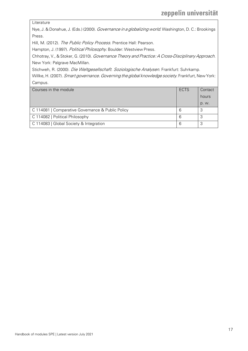Literature

Nye, J. & Donahue, J. (Eds.) (2000). Governance in a globalizing world. Washington, D. C.: Brookings Press.

Hill, M. (2012). The Public Policy Process. Prentice Hall: Pearson.

Hampton, J. (1997). Political Philosophy. Boulder: Westview Press.

Chhotray, V., & Stoker, G. (2010). Governance Theory and Practice: A Cross-Disciplinary Approach. New York: Palgrave MacMillan.

Stichweh, R. (2000). Die Weltgesellschaft. Soziologische Analysen. Frankfurt: Suhrkamp.

Willke, H. (2007). Smart governance. Governing the global knowledge society. Frankfurt, New York: Campus.

| Courses in the module                             | <b>ECTS</b> | Contact |
|---------------------------------------------------|-------------|---------|
|                                                   |             |         |
|                                                   |             | hours   |
|                                                   |             | p. w.   |
|                                                   |             |         |
| C 114081   Comparative Governance & Public Policy | 6           | 3       |
|                                                   |             |         |
| C 114082   Political Philosophy                   | 6           | 3       |
|                                                   |             |         |
| C 114083   Global Society & Integration           | 6           |         |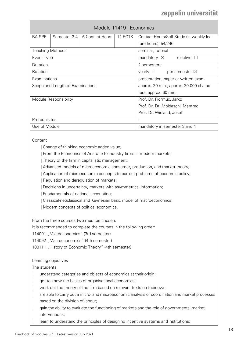<span id="page-17-0"></span>

| Module 11419   Economics         |              |                 |                                         |                                                                  |  |
|----------------------------------|--------------|-----------------|-----------------------------------------|------------------------------------------------------------------|--|
| <b>BA SPE</b>                    | Semester 3-4 | 6 Contact Hours | 12 ECTS                                 | Contact Hours/Self Study (in weekly lec-                         |  |
|                                  |              |                 |                                         | ture hours): 54/246                                              |  |
| <b>Teaching Methods</b>          |              |                 |                                         | seminar, tutorial                                                |  |
| Event Type                       |              |                 |                                         | mandatory $\boxtimes$<br>elective $\Box$                         |  |
| Duration                         |              |                 |                                         | 2 semesters                                                      |  |
| Rotation                         |              |                 |                                         | $\mathsf{v}$ earl $\mathsf{v} \perp$<br>per semester $\boxtimes$ |  |
| Examinations                     |              |                 | presentation, paper or written exam     |                                                                  |  |
| Scope and Length of Examinations |              |                 | approx. 20 min.; approx. 20.000 charac- |                                                                  |  |
|                                  |              |                 | ters, approx. 60 min.                   |                                                                  |  |
| Module Responsibility            |              |                 | Prof. Dr. Fidrmuc, Jarko                |                                                                  |  |
|                                  |              |                 | Prof. Dr. Dr. Moldaschl, Manfred        |                                                                  |  |
|                                  |              |                 | Prof. Dr. Wieland, Josef                |                                                                  |  |
| Prerequisites                    |              |                 | $\overline{\phantom{0}}$                |                                                                  |  |
| Use of Module                    |              |                 |                                         | mandatory in semester 3 and 4                                    |  |

### **Content**

| Change of thinking economic added value;

| From the Economics of Aristotle to industry firms in modern markets;

| Theory of the firm in capitalistic management;

| Advanced models of microeconomic consumer, production, and market theory;

| Application of microeconomic concepts to current problems of economic policy;

| Regulation and deregulation of markets;

| Decisions in uncertainty, markets with asymmetrical information;

| Fundamentals of national accounting;

| Classical-neoclassical and Keynesian basic model of macroeconomics;

| Modern concepts of political economics.

From the three courses two must be chosen.

It is recommended to complete the courses in the following order:

114091 "Microeconomics" (3rd semester)

114092 "Macroeconomics" (4th semester)

100111 "History of Economic Theory" (4th semester)

Learning objectives

The students

- understand categories and objects of economics at their origin;
- get to know the basics of organisational economics;
- work out the theory of the firm based on relevant texts on their own;
- are able to carry out a micro- and macroeconomic analysis of coordination and market processes based on the division of labour;
- gain the ability to evaluate the functioning of markets and the role of governmental market interventions;
- learn to understand the principles of designing incentive systems and institutions;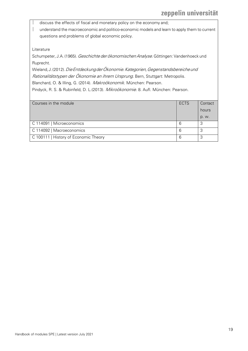discuss the effects of fiscal and monetary policy on the economy and;

 understand the macroeconomic and politico-economic models and learn to apply them to current questions and problems of global economic policy.

Literature

Schumpeter, J.A. (1965). Geschichte der ökonomischen Analyse. Göttingen: Vandenhoeck und Ruprecht.

Wieland, J. (2012). Die Entdeckung der Ökonomie. Kategorien, Gegenstandsbereiche und Rationalitätstypen der Ökonomie an ihrem Ursprung. Bern, Stuttgart: Metropolis.

Blanchard, O. & Illing, G. (2014). Makroökonomik. München: Pearson.

Pindyck, R. S. & Rubinfeld, D. L.(2013). Mikroökonomie. 8. Aufl. München: Pearson.

| Courses in the module                 | <b>ECTS</b> | Contact |
|---------------------------------------|-------------|---------|
|                                       |             | hours   |
|                                       |             | p. w.   |
| C 114091   Microeconomics             | 6           | 3       |
| C 114092   Macroeconomics             | 6           |         |
| C 100111   History of Economic Theory | 6           | 3       |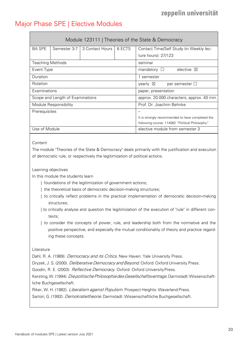### <span id="page-19-0"></span>Major Phase SPE | Elective Modules

<span id="page-19-1"></span>

|                                  | Module 123111   Theories of the State & Democracy |                   |                                                  |                                          |  |  |
|----------------------------------|---------------------------------------------------|-------------------|--------------------------------------------------|------------------------------------------|--|--|
| <b>BA SPE</b>                    | Semester 3-7                                      | 3 Contact Hours I | 6 FCTS                                           | Contact Time/Self Study (in Weekly lec-  |  |  |
|                                  |                                                   |                   |                                                  | ture hours): 27/123                      |  |  |
| <b>Teaching Methods</b>          |                                                   |                   |                                                  | seminar                                  |  |  |
| Event Type                       |                                                   |                   |                                                  | elective $\boxtimes$<br>mandatory $\Box$ |  |  |
| Duration                         |                                                   |                   | 1 semester                                       |                                          |  |  |
| Rotation                         |                                                   |                   | yearly $\boxtimes$<br>per semester $\Box$        |                                          |  |  |
| Examinations                     |                                                   |                   |                                                  | paper, presentation                      |  |  |
| Scope and Length of Examinations |                                                   |                   | approx. 20.000 characters; approx. 40 min.       |                                          |  |  |
| Module Responsibility            |                                                   |                   | Prof. Dr. Joachim Behnke                         |                                          |  |  |
| Prerequisites                    |                                                   |                   |                                                  |                                          |  |  |
|                                  |                                                   |                   | It is strongly recommended to have completed the |                                          |  |  |
|                                  |                                                   |                   | following course: 114082 "Political Philosophy"  |                                          |  |  |
| Use of Module                    |                                                   |                   | elective module from semester 3                  |                                          |  |  |

### **Content**

The module "Theories of the State & Democracy" deals primarily with the justification and execution of democratic rule, or respectively the legitimization of political actions.

### Learning objectives

In this module the students learn

- | foundations of the legitimization of government actions;
- | the theoretical basis of democratic decision-making structures;
- | to critically reflect problems in the practical implementation of democratic decision-making structures;
- | to critically analyse and question the legitimization of the execution of "rule" in different contexts;
- | to consider the concepts of power, rule, and leadership both from the normative and the positive perspective, and especially the mutual conditionality of theory and practice regarding these concepts.

### Literature

Dahl, R. A. (1989). *Democracy and its Critics*. New Haven: Yale University Press.

Dryzek, J. S. (2000). *Deliberative Democracy and Beyond*. Oxford: Oxford University Press.

Goodin, R. E. (2003). Reflective Democracy. Oxford: Oxford University Press.

Kersting, W. (1994). Die politische Philosophie des Gesellschaftsvertrags. Darmstadt: Wissenschaftliche Buchgesellschaft.

Riker, W. H. (1982). *Liberalism against Populism*. Prospect Heights: Waverland Press.

Sartori, G. (1992). Demokratietheorie. Darmstadt: Wissenschaftliche Buchgesellschaft.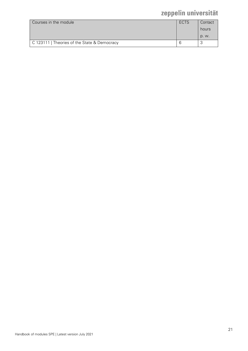| Courses in the module                        | <b>ECTS</b> | Contact<br>hours |
|----------------------------------------------|-------------|------------------|
|                                              |             | D. W.            |
| C 123111   Theories of the State & Democracy |             |                  |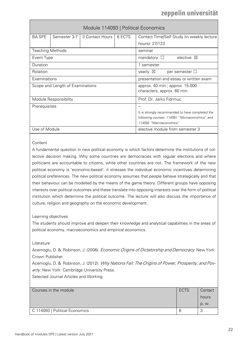<span id="page-21-0"></span>

|                                  | Module 114093   Political Economics |                 |                                                  |                                             |  |  |
|----------------------------------|-------------------------------------|-----------------|--------------------------------------------------|---------------------------------------------|--|--|
| <b>BA SPE</b>                    | Semester 3-7                        | 3 Contact Hours | 6 ECTS                                           | Contact Time/Self Study (in weekly lecture  |  |  |
|                                  |                                     |                 |                                                  | hours): 27/123                              |  |  |
| <b>Teaching Methods</b>          |                                     |                 |                                                  | seminar                                     |  |  |
| Event Type                       |                                     |                 |                                                  | mandatory $\square$<br>elective $\boxtimes$ |  |  |
| Duration                         |                                     |                 |                                                  | 1 semester                                  |  |  |
| Rotation                         |                                     |                 |                                                  | yearly $\boxtimes$<br>per semester $\Box$   |  |  |
| Examinations                     |                                     |                 | presentation and essay or written exam           |                                             |  |  |
| Scope and Length of Examinations |                                     |                 | approx. 40 min.; approx. 15.000                  |                                             |  |  |
|                                  |                                     |                 | characters; approx. 60 min.                      |                                             |  |  |
| Module Responsibility            |                                     |                 | Prof. Dr. Jarko Fidrmuc                          |                                             |  |  |
| Prerequisites                    |                                     |                 |                                                  |                                             |  |  |
|                                  |                                     |                 | It is strongly recommended to have completed the |                                             |  |  |
|                                  |                                     |                 | following courses: 114091 "Microeconomics" and   |                                             |  |  |
|                                  |                                     |                 |                                                  | 114092 "Macroeconomics"                     |  |  |
| Use of Module                    |                                     |                 | elective module from semester 3                  |                                             |  |  |

### **Content**

A fundamental question in new political economy is which factors determine the institutions of collective decision making. Why some countries are democracies with regular elections and where politicians are accountable to citizens, while other countries are not. The framework of the new political economy is 'economic-based'; it stresses the individual economic incentives determining political preferences. The new political economy assumes that people behave strategically and that their behaviour can be modelled by the means of the game theory. Different groups have opposing interests over political outcomes and these translate into opposing interests over the form of political institution which determine the political outcome. The lecture will also discuss the importance of culture, religion and geography on the economic development.

### Learning objectives

The students should improve and deepen their knowledge and analytical capabilities in the areas of political economy, macroeconomics and empirical economics.

#### Literature

Acemoglu, D. & Robinson, J. (2006). *Economic Origins of Dictatorship and Democracy*. New York: Crown Publisher.

Acemoglu, D. & Robinson, J. (2012). Why Nations Fail: The Origins of Power, Prosperity, and Poverty. New York: Cambridge University Press.

Selected Journal Articles and Working

| Courses in the module          | <b>ECTS</b> | Contact                  |
|--------------------------------|-------------|--------------------------|
|                                |             | hours                    |
|                                |             | D. W.                    |
| C 114093   Political Economics | ь           | $\overline{\phantom{a}}$ |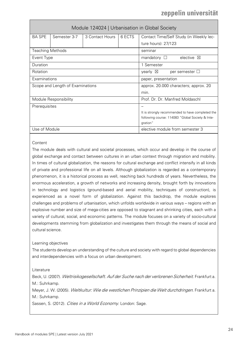<span id="page-23-0"></span>

| Module 124024   Urbanisation in Global Society |              |                 |                                                  |                                          |  |
|------------------------------------------------|--------------|-----------------|--------------------------------------------------|------------------------------------------|--|
| <b>BA SPE</b>                                  | Semester 3-7 | 3 Contact Hours | 6 ECTS                                           | Contact Time/Self Study (in Weekly lec-  |  |
|                                                |              |                 |                                                  | ture hours): 27/123                      |  |
| <b>Teaching Methods</b>                        |              |                 |                                                  | seminar                                  |  |
| Event Type                                     |              |                 |                                                  | elective $\boxtimes$<br>mandatory $\Box$ |  |
| Duration                                       |              |                 |                                                  | 1 Semester                               |  |
| Rotation                                       |              |                 | $\vee$ vearly $\boxtimes$<br>per semester $\Box$ |                                          |  |
| Examinations                                   |              |                 |                                                  | paper, presentation                      |  |
| Scope and Length of Examinations               |              |                 | approx. 20.000 characters; approx. 20            |                                          |  |
|                                                |              |                 |                                                  | min.                                     |  |
| Module Responsibility                          |              |                 | Prof. Dr. Dr. Manfred Moldaschl                  |                                          |  |
| Prerequisites                                  |              |                 |                                                  |                                          |  |
|                                                |              |                 | It is strongly recommended to have completed the |                                          |  |
|                                                |              |                 | following course: 114083 "Global Society & Inte- |                                          |  |
|                                                |              |                 |                                                  | gration"                                 |  |
| Use of Module                                  |              |                 |                                                  | elective module from semester 3          |  |

### **Content**

The module deals with cultural and societal processes, which occur and develop in the course of global exchange and contact between cultures in an urban context through migration and mobility. In times of cultural globalization, the reasons for cultural exchange and conflict intensify in all kinds of private and professional life on all levels. Although globalization is regarded as a contemporary phenomenon, it is a historical process as well, reaching back hundreds of years. Nevertheless, the enormous acceleration, a growth of networks and increasing density, brought forth by innovations in technology and logistics (ground-based and aerial mobility, techniques of construction), is experienced as a novel form of globalization. Against this backdrop, the module explores challenges and problems of urbanisation, which unfolds worldwide in various ways – regions with an explosive number and size of mega-cities are opposed to stagnant and shrinking cities, each with a variety of cultural, social, and economic patterns. The module focuses on a variety of socio-cultural developments stemming from globalization and investigates them through the means of social and cultural science.

### Learning objectives

The students develop an understanding of the culture and society with regard to global dependencies and interdependencies with a focus on urban development.

Literature

Beck, U. (2007). Weltrisikogesellschaft. Auf der Suche nach der verlorenen Sicherheit. Frankfurt a. M.: Suhrkamp.

Meyer, J. W. (2005). Weltkultur: Wie die westlichen Prinzipien die Welt durchdringen. Frankfurt a. M.: Suhrkamp.

Sassen, S. (2012). Cities in a World Economy. London: Sage.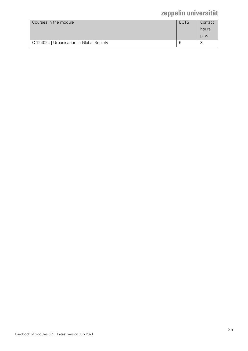| Courses in the module                     | <b>ECTS</b> | Contact<br>hours |
|-------------------------------------------|-------------|------------------|
|                                           |             | D. W.            |
| C 124024   Urbanisation in Global Society |             |                  |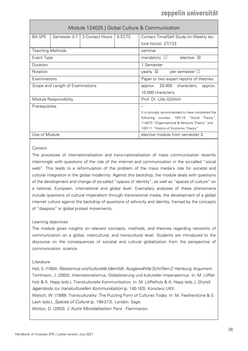<span id="page-25-0"></span>

|                                  | Module 124025   Global Culture & Communication |                                                  |                                         |                                           |  |  |  |
|----------------------------------|------------------------------------------------|--------------------------------------------------|-----------------------------------------|-------------------------------------------|--|--|--|
| <b>BA SPE</b>                    |                                                | Semester 3-7   3 Contact Hours                   | 6 ECTS                                  | Contact Time/Self Study (in Weekly lec-   |  |  |  |
|                                  |                                                |                                                  |                                         | ture hours): 27/123                       |  |  |  |
| <b>Teaching Methods</b>          |                                                |                                                  |                                         | seminar                                   |  |  |  |
| Event Type                       |                                                |                                                  |                                         | elective $\boxtimes$<br>mandatory $\Box$  |  |  |  |
| Duration                         |                                                |                                                  |                                         | 1 Semester                                |  |  |  |
| Rotation                         |                                                |                                                  |                                         | yearly $\boxtimes$<br>per semester $\Box$ |  |  |  |
| Examinations                     |                                                |                                                  | Paper or two expert reports of theories |                                           |  |  |  |
| Scope and Length of Examinations |                                                | 20.000<br>characters;<br>approx.<br>approx.      |                                         |                                           |  |  |  |
|                                  |                                                |                                                  | 10.000 characters                       |                                           |  |  |  |
| Module Responsibility            |                                                | Prof. Dr. Udo Göttlich                           |                                         |                                           |  |  |  |
| Prerequisites                    |                                                |                                                  |                                         |                                           |  |  |  |
|                                  |                                                | It is strongly recommended to have completed the |                                         |                                           |  |  |  |
|                                  |                                                | following courses: 100115 "Social Theory",       |                                         |                                           |  |  |  |
|                                  |                                                | 114073 "Organisational & Network Theory" and     |                                         |                                           |  |  |  |
|                                  |                                                |                                                  |                                         | 100111 "History of Economic Theory"       |  |  |  |
| Use of Module                    |                                                |                                                  |                                         | elective module from semester 3           |  |  |  |

### **Content**

The processes of internationalisation and trans-nationalisation of mass communication recently intermingle with questions of the role of the internet and communication in the so-called "social web". This leads to a reformulation of the problem of the mass media's role for societal and cultural integration in the global modernity. Against this backdrop, the module deals with questions of the development and change of so-called "spaces of identity", as well as "spaces of culture" on a national, European, international and global level. Exemplary analyses of these phenomena include questions of cultural imperialism through transnational media, the development of a global internet culture against the backdrop of questions of ethnicity and identity, framed by the concepts of "diaspora" or global protest movements.

### Learning objectives

The module gives insights on relevant concepts, methods, and theories regarding networks of communication on a global, intercultural, and transcultural level. Students are introduced to the discourse on the consequences of societal and cultural globalization from the perspective of communication science.

### **Literature**

Hall, S. (1994). Rassismus und kulturelle Identität. Ausgewählte Schriften 2. Hamburg: Argument. Tomlinson, J. (2002). Internationalismus, Globalisierung und kultureller Imperialismus. In: M. Löffelholz & A. Hepp (eds.), Transkulturelle Kommunikation. In: M. Löffelholz & A. Hepp (eds.), Grundlagentexte zur transkulturellen Kommunikation (p. 140-163). Konstanz: UKV.

Welsch, W. (1999). Transculturality: The Puzzling Form of Cultures Today. In: M. Featherstone & S. Lash (eds.), Spaces of Culture (p. 199-213). London: Sage.

Wolton, D. (2003). L'Autre Mondialisation. Paris : Flammarion.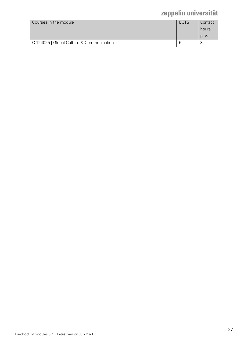| Courses in the module                     | ECTS | Contact<br>hours |
|-------------------------------------------|------|------------------|
|                                           |      | D. W.            |
| C 124025   Global Culture & Communication |      |                  |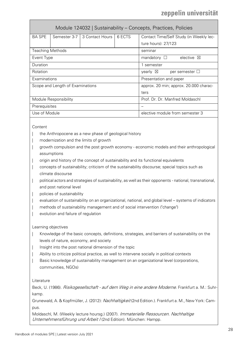<span id="page-27-0"></span>

|                                  | Module 124032   Sustainability - Concepts, Practices, Policies |                                           |                                 |                                          |  |  |  |
|----------------------------------|----------------------------------------------------------------|-------------------------------------------|---------------------------------|------------------------------------------|--|--|--|
| <b>BA SPE</b>                    | Semester 3-7                                                   | 3 Contact Hours                           | 6 ECTS                          | Contact Time/Self Study (in Weekly lec-  |  |  |  |
|                                  |                                                                |                                           |                                 | ture hours): 27/123                      |  |  |  |
| <b>Teaching Methods</b>          |                                                                |                                           |                                 | seminar                                  |  |  |  |
| Event Type                       |                                                                |                                           |                                 | elective $\boxtimes$<br>mandatory $\Box$ |  |  |  |
| Duration                         |                                                                |                                           |                                 | 1 semester                               |  |  |  |
| Rotation                         |                                                                | yearly $\boxtimes$<br>per semester $\Box$ |                                 |                                          |  |  |  |
| Examinations                     |                                                                | Presentation and paper                    |                                 |                                          |  |  |  |
| Scope and Length of Examinations |                                                                | approx. 20 min; approx. 20.000 charac-    |                                 |                                          |  |  |  |
|                                  |                                                                | ters                                      |                                 |                                          |  |  |  |
| Module Responsibility            |                                                                | Prof. Dr. Dr. Manfred Moldaschl           |                                 |                                          |  |  |  |
| Prerequisites                    |                                                                |                                           |                                 |                                          |  |  |  |
| Use of Module                    |                                                                |                                           | elective module from semester 3 |                                          |  |  |  |
|                                  |                                                                |                                           |                                 |                                          |  |  |  |

**Content** 

- the Anthropocene as a new phase of geological history
- modernization and the limits of growth
- | growth compulsion and the post growth economy economic models and their anthropological assumptions
- origin and history of the concept of sustainability and its functional equivalents
- | concepts of sustainability; criticism of the sustainability discourse; special topics such as climate discourse
- | political actors and strategies of sustainability, as well as their opponents national, transnational, and post national level
- policies of sustainability
- | evaluation of sustainability on an organizational, national, and global level systems of indicators
- | methods of sustainability management and of social intervention ("change")
- evolution and failure of regulation

Learning objectives

- Knowledge of the basic concepts, definitions, strategies, and barriers of sustainability on the levels of nature, economy, and society
- Insight into the post national dimension of the topic
- Ability to criticize political practice, as well to intervene socially in political contexts
- Basic knowledge of sustainability management on an organizational level (corporations, communities, NGOs)

Literature

Beck, U. (1986). *Risikogesellschaft - auf dem Weg in eine andere Moderne*. Frankfurt a. M.: Suhrkamp.

Grunewald, A. & Kopfmüller, J. (2012): Nachhaltigkeit (2nd Edition.). Frankfurt a. M., New York: Campus.

Moldaschl, M. (Weekly lecture hoursg.) (2007). Immaterielle Ressourcen. Nachhaltige Unternehmensführung und Arbeit I (2nd Edition). München: Hampp.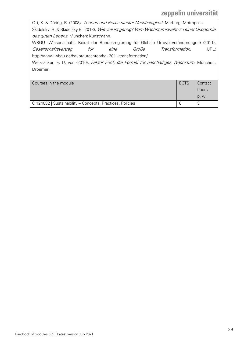Ott, K. & Döring, R. (2008). Theorie und Praxis starker Nachhaltigkeit. Marburg: Metropolis. Skidelsky, R. & Skidelsky E. (2013). Wie viel ist genug? Vom Wachstumswahn zu einer Ökonomie des guten Lebens. München: Kunstmann. WBGU (Wissenschaftl. Beirat der Bundesregierung für Globale Umweltveränderungen) (2011). Gesellschaftsvertrag für eine Große Transformation. URL: <http://www.wbgu.de/hauptgutachten/hg-> 2011-transformation/ Weizsäcker, E. U. von (2010). Faktor Fünf: die Formel für nachhaltiges Wachstum. München: Droemer. Courses in the module **ECTS** Contact **Contact** hours p. w. C 124032 | Sustainability – Concepts, Practices, Policies 6 3 3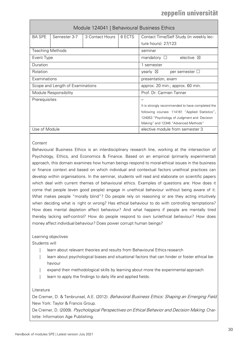<span id="page-29-0"></span>

|                                  | Module 124041   Behavioural Business Ethics |                                                  |                                           |                                          |  |
|----------------------------------|---------------------------------------------|--------------------------------------------------|-------------------------------------------|------------------------------------------|--|
| <b>BA SPE</b>                    | Semester 3-7                                | 3 Contact Hours                                  | 6 ECTS                                    | Contact Time/Self Study (in weekly lec-  |  |
|                                  |                                             |                                                  |                                           | ture hours): 27/123                      |  |
| <b>Teaching Methods</b>          |                                             |                                                  |                                           | seminar                                  |  |
| Event Type                       |                                             |                                                  |                                           | elective $\boxtimes$<br>mandatory $\Box$ |  |
| Duration                         |                                             |                                                  |                                           | 1 semester                               |  |
| Rotation                         |                                             |                                                  | yearly $\boxtimes$<br>per semester $\Box$ |                                          |  |
| Examinations                     |                                             | presentation, exam                               |                                           |                                          |  |
| Scope and Length of Examinations |                                             | approx. 20 min.; approx. 60 min.                 |                                           |                                          |  |
| Module Responsibility            |                                             |                                                  | Prof. Dr. Carmen Tanner                   |                                          |  |
| Prerequisites                    |                                             |                                                  |                                           | $\overline{\phantom{0}}$                 |  |
|                                  |                                             | It is strongly recommended to have completed the |                                           |                                          |  |
|                                  |                                             | following courses: 114161 "Applied Statistics",  |                                           |                                          |  |
|                                  |                                             | 124053 "Psychology of Judgment and Decision      |                                           |                                          |  |
|                                  |                                             |                                                  |                                           | Making" and 12346 "Advanced Methods"     |  |
| Use of Module                    |                                             |                                                  |                                           | elective module from semester 3          |  |

### **Content**

Behavioural Business Ethics is an interdisciplinary research line, working at the intersection of Psychology, Ethics, and Economics & Finance. Based on an empirical (primarily experimental) approach, this domain examines how human beings respond to moral-ethical issues in the business or finance context and based on which individual and contextual factors unethical practices can develop within organisations. In the seminar, students will read and elaborate on scientific papers which deal with current themes of behavioural ethics. Examples of questions are: How does it come that people (even good people) engage in unethical behaviour without being aware of it. What makes people "morally blind"? Do people rely on reasoning or are they acting intuitively when deciding what is right or wrong? Has ethical behaviour to do with controlling temptations? How does mental depletion affect behaviour? And what happens if people are mentally tired thereby lacking self-control? How do people respond to own (un)ethical behaviour? How does money affect individual behaviour? Does power corrupt human beings?

### Learning objectives

Students will

- learn about relevant theories and results from Behavioural Ethics research
- learn about psychological biases and situational factors that can hinder or foster ethical behaviour
- expand their methodological skills by learning about more the experimental approach
- learn to apply the findings to daily life and applied fields.

### Literature

De Cremer, D. & Tenbrunsel, A.E. (2012). Behavioral Business Ethics: Shaping an Emerging Field. New York: Taylor & Francis Group.

De Cremer, D. (2009). Psychological Perspectives on Ethical Behavior and Decision Making. Charlotte: Information Age Publishing.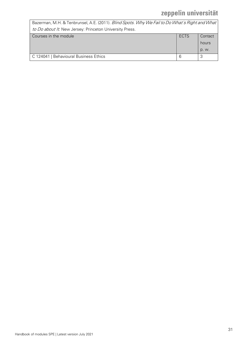| Bazerman, M.H. & Tenbrunsel, A.E. (2011). Blind Spots. Why We Fail to Do What's Right and What |             |         |
|------------------------------------------------------------------------------------------------|-------------|---------|
| to Do about It. New Jersey: Princeton University Press.                                        |             |         |
| Courses in the module                                                                          | <b>ECTS</b> | Contact |
|                                                                                                |             | hours   |
|                                                                                                |             | p. w.   |
| C 124041   Behavioural Business Ethics                                                         | 6           | 3       |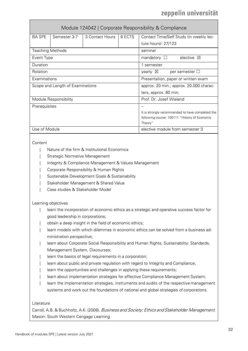<span id="page-31-0"></span>

|                                  | Module 124042   Corporate Responsibility & Compliance |                 |                                           |                                                          |  |  |
|----------------------------------|-------------------------------------------------------|-----------------|-------------------------------------------|----------------------------------------------------------|--|--|
| <b>BA SPE</b>                    | Semester 3-7                                          | 3 Contact Hours | 6 ECTS                                    | Contact Time/Self Study (in weekly lec-                  |  |  |
|                                  |                                                       |                 |                                           | ture hours): 27/123                                      |  |  |
| <b>Teaching Methods</b>          |                                                       |                 |                                           | seminar                                                  |  |  |
| Event Type                       |                                                       |                 |                                           | elective $\boxtimes$<br>mandatory $\square$              |  |  |
| Duration                         |                                                       |                 |                                           | 1 semester                                               |  |  |
| Rotation                         |                                                       |                 | per semester $\Box$<br>yearly $\boxtimes$ |                                                          |  |  |
| Examinations                     |                                                       |                 | Presentation, paper or written exam       |                                                          |  |  |
| Scope and Length of Examinations |                                                       |                 | approx. 20 min.; approx. 20.000 charac-   |                                                          |  |  |
|                                  |                                                       |                 |                                           | ters, approx. 60 min.                                    |  |  |
|                                  | Module Responsibility                                 |                 |                                           | Prof. Dr. Josef Wieland                                  |  |  |
| Prerequisites                    |                                                       |                 |                                           |                                                          |  |  |
|                                  |                                                       |                 |                                           | It is strongly recommended to have completed the         |  |  |
|                                  |                                                       |                 |                                           | following course: 100111 "History of Economic<br>Theory" |  |  |
| Use of Module                    |                                                       |                 |                                           | elective module from semester 3                          |  |  |

### **Content**

- | Nature of the firm & Institutional Economics
- Strategic Normative Management
- Integrity & Compliance Management & Values Management
- | Corporate Responsibility & Human Rights
- Sustainable Development Goals & Sustainability
- | Stakeholder Management & Shared Value
- | Case studies & Stakeholder Model

### Learning objectives

- | learn the incorporation of economic ethics as a strategic and operative success factor for good leadership in corporations;
- obtain a deep insight in the field of economic ethics;
- learn models with which dilemmas in economic ethics can be solved from a business administration perspective;
- learn about Corporate Social Responsibility and Human Rights, Sustainability: Standards, Management System, Discourses;
- learn the basics of legal requirements in a corporation;
- learn about public and private regulation with regard to Integrity and Compliance;
- learn the opportunities and challenges in applying these requirements;
- learn about implementation strategies for effective Compliance Management System;
- | learn the implementation strategies, instruments and audits of the respective management systems and work out the foundations of national and global strategies of corporations.

### Literature

Carroll, A.B. & Buchholtz, A.K. (2008). Business and Society: Ethics and Stakeholder Management. Mason: South Western Cengage Learning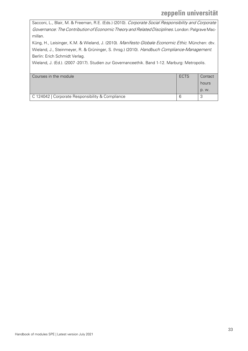Sacconi, L., Blair, M. & Freeman, R.E. (Eds.) (2010). Corporate Social Responsibility and Corporate Governance: The Contribution of Economic Theory and Related Disciplines. London: Palgrave Macmillan.

Küng, H., Leisinger, K.M. & Wieland, J. (2010). Manifesto Globale Economic Ethic. München: dtv. Wieland, J., Steinmeyer, R. & Grüninger, S. (hrsg.) (2010). Handbuch Compliance-Management. Berlin: Erich Schmidt Verlag.

Wieland, J. (Ed.). (2007 -2017). Studien zur Governanceethik. Band 1-12. Marburg: Metropolis.

| Courses in the module                            | ECTS | Contact |
|--------------------------------------------------|------|---------|
|                                                  |      | hours   |
|                                                  |      | p. w.   |
| C 124042   Corporate Responsibility & Compliance |      |         |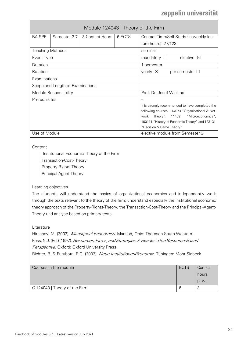<span id="page-33-0"></span>

|                         | Module 124043   Theory of the Firm |                   |        |                                                                                                                                                                                                                                 |  |  |
|-------------------------|------------------------------------|-------------------|--------|---------------------------------------------------------------------------------------------------------------------------------------------------------------------------------------------------------------------------------|--|--|
| <b>BA SPE</b>           | Semester 3-7                       | 3 Contact Hours I | 6 ECTS | Contact Time/Self Study (in weekly lec-                                                                                                                                                                                         |  |  |
|                         |                                    |                   |        | ture hours): 27/123                                                                                                                                                                                                             |  |  |
| <b>Teaching Methods</b> |                                    |                   |        | seminar                                                                                                                                                                                                                         |  |  |
| Event Type              |                                    |                   |        | elective $\boxtimes$<br>mandatory $\square$                                                                                                                                                                                     |  |  |
| Duration                |                                    |                   |        | 1 semester                                                                                                                                                                                                                      |  |  |
| Rotation                |                                    |                   |        | yearly $\boxtimes$<br>per semester $\Box$                                                                                                                                                                                       |  |  |
| Examinations            |                                    |                   |        |                                                                                                                                                                                                                                 |  |  |
|                         | Scope and Length of Examinations   |                   |        |                                                                                                                                                                                                                                 |  |  |
|                         | Module Responsibility              |                   |        | Prof. Dr. Josef Wieland                                                                                                                                                                                                         |  |  |
| Prerequisites           |                                    |                   |        | It is strongly recommended to have completed the<br>following courses: 114073 "Organisational & Net-<br>Theory", 114091 "Microeconomics",<br>work<br>100111 "History of Economic Theory" and 123131<br>"Decision & Game Theory" |  |  |
| Use of Module           |                                    |                   |        | elective module from Semester 3                                                                                                                                                                                                 |  |  |

### **Content**

| Institutional Economic Theory of the Firm

| Transaction-Cost-Theory

| Property-Rights-Theory

| Principal-Agent-Theory

### Learning objectives

The students will understand the basics of organizational economics and independently work through the texts relevant to the theory of the firm; understand especially the institutional economic theory approach of the Property-Rights-Theory, the Transaction-Cost-Theory and the Principal-Agent-Theory und analyse based on primary texts.

### Literature

Hirschey, M. (2003). Managerial Economics. Manson, Ohio: Thomson South-Western. Foss, N.J. (Ed.) (1997). Resources, Firms, and Strategies. A Reader in the Resource-Based Perspective. Oxford: Oxford University Press.

Richter, R. & Furubotn, E.G. (2003). Neue Institutionenökonomik. Tübingen: Mohr Siebeck.

| Courses in the module         | <b>ECTS</b> | Contact |
|-------------------------------|-------------|---------|
|                               |             | hours   |
|                               |             | p. w.   |
| C 124043   Theory of the Firm | 6           | ື       |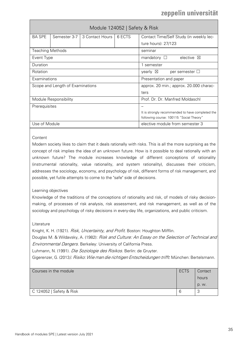<span id="page-34-0"></span>

|                                  | Module 124052   Safety & Risk            |                                                  |                        |                                          |  |  |  |
|----------------------------------|------------------------------------------|--------------------------------------------------|------------------------|------------------------------------------|--|--|--|
| <b>BA SPE</b>                    | Semester 3-7                             | 3 Contact Hours                                  | 6 FCTS                 | Contact Time/Self Study (in weekly lec-  |  |  |  |
|                                  |                                          |                                                  |                        | ture hours): 27/123                      |  |  |  |
| <b>Teaching Methods</b>          |                                          |                                                  |                        | seminar                                  |  |  |  |
| Event Type                       |                                          |                                                  |                        | elective $\boxtimes$<br>mandatory $\Box$ |  |  |  |
| Duration                         |                                          |                                                  |                        | 1 semester                               |  |  |  |
| Rotation                         |                                          | per semester $\Box$<br>yearly $\boxtimes$        |                        |                                          |  |  |  |
| Examinations                     |                                          |                                                  | Presentation and paper |                                          |  |  |  |
| Scope and Length of Examinations |                                          | approx. 20 min.; approx. 20.000 charac-          |                        |                                          |  |  |  |
|                                  |                                          |                                                  | ters                   |                                          |  |  |  |
|                                  | Module Responsibility                    |                                                  |                        | Prof. Dr. Dr. Manfred Moldaschl          |  |  |  |
| Prerequisites                    |                                          |                                                  |                        |                                          |  |  |  |
|                                  |                                          | It is strongly recommended to have completed the |                        |                                          |  |  |  |
|                                  | following course: 100115 "Social Theory" |                                                  |                        |                                          |  |  |  |
| Use of Module                    |                                          |                                                  |                        | elective module from semester 3          |  |  |  |

### **Content**

Modern society likes to claim that it deals rationally with risks. This is all the more surprising as the concept of risk implies the idea of an unknown future. How is it possible to deal rationally with an unknown future? The module increases knowledge of different conceptions of rationality (instrumental rationality, value rationality, and system rationality), discusses their criticism, addresses the sociology, economy, and psychology of risk, different forms of risk management, and possible, yet futile attempts to come to the "safe" side of decisions.

### Learning objectives

Knowledge of the traditions of the conceptions of rationality and risk, of models of risky decisionmaking, of processes of risk analysis, risk assessment, and risk management, as well as of the sociology and psychology of risky decisions in every-day life, organizations, and public criticism.

### Literature

Knight, K. H. (1921). Risk, Uncertainty, and Profit. Boston: Houghton Mifflin. Douglas M. & Wildavsky, A. (1982): Risk and Culture: An Essay on the Selection of Technical and Environmental Dangers. Berkeley: University of California Press. Luhmann, N. (1991). Die Soziologie des Risikos. Berlin: de Gruyter.

Gigerenzer, G. (2013*). Risiko: Wie man die richtigen Entscheidungen trifft*. München: Bertelsmann.

| Courses in the module    | <b>ECTS</b> | Contact |
|--------------------------|-------------|---------|
|                          |             | hours   |
|                          |             | p. w.   |
| C 124052   Safety & Risk | 6           | v.      |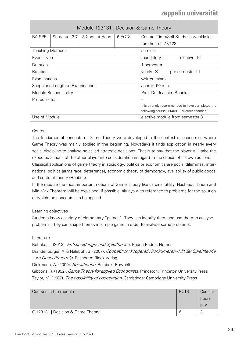<span id="page-35-0"></span>

|                                                     | Module 123131   Decision & Game Theory    |                                                  |                          |                                          |  |  |
|-----------------------------------------------------|-------------------------------------------|--------------------------------------------------|--------------------------|------------------------------------------|--|--|
| <b>BA SPE</b>                                       | Semester 3-7                              | 3 Contact Hours                                  | 6 ECTS                   | Contact Time/Self Study (in weekly lec-  |  |  |
|                                                     |                                           |                                                  |                          | ture hours): 27/123                      |  |  |
| <b>Teaching Methods</b>                             |                                           |                                                  |                          | seminar                                  |  |  |
| Event Type                                          |                                           |                                                  |                          | elective $\boxtimes$<br>mandatory $\Box$ |  |  |
| Duration                                            |                                           |                                                  |                          | 1 semester                               |  |  |
| Rotation                                            |                                           | yearly $\boxtimes$<br>per semester $\Box$        |                          |                                          |  |  |
| Examinations<br>written exam                        |                                           |                                                  |                          |                                          |  |  |
| Scope and Length of Examinations<br>approx. 90 min. |                                           |                                                  |                          |                                          |  |  |
| Module Responsibility                               |                                           |                                                  | Prof. Dr. Joachim Behnke |                                          |  |  |
| Prerequisites                                       |                                           |                                                  |                          |                                          |  |  |
|                                                     |                                           | It is strongly recommended to have completed the |                          |                                          |  |  |
|                                                     | following course: 114091 "Microeconomics" |                                                  |                          |                                          |  |  |
| Use of Module                                       |                                           |                                                  |                          | elective module from semester 3          |  |  |

Content

The fundamental concepts of Game Theory were developed in the context of economics where Game Theory was mainly applied in the beginning. Nowadays it finds application in nearly every social discipline to analyse so-called strategic decisions. That is to say that the player will take the expected actions of the other player into consideration in regard to the choice of his own actions. Classical applications of game theory in sociology, politics or economics are social dilemmas, international politics (arms race, deterrence), economic theory of democracy, availability of public goods

and contract theory (Hobbes).

In the module the most important notions of Game Theory like cardinal utility, Nash-equilibrium and Min-Max-Theorem will be explained, if possible, always with reference to problems for the solution of which the concepts can be applied.

### Learning objectives

Students know a variety of elementary "games". They can identify them and use them to analyse problems. They can shape their own simple game in order to analyse some problems.

### Literature

Behnke, J. (2013). *Entscheidungs- und Spieltheorie*. Baden-Baden: Nomos

Brandenburger, A. & Nalebuff, B. (2007). Coopetition: kooperativ konkurrieren - Mit der Spieltheorie zum Geschäftserfolg. Eschborn: Rieck-Verlag

Diekmann, A. (2009). Spieltheorie. Reinbek: Rowohlt.

Gibbons, R. (1992). Game Theory for applied Economists. Princeton: Princeton University Press Taylor, M. (1987). The possibility of cooperation. Cambridge: Cambridge University Press.

| Courses in the module<br><b>ECTS</b> |  | Contact |
|--------------------------------------|--|---------|
|                                      |  | hours   |
|                                      |  | p. w.   |
| C 123131   Decision & Game Theory    |  |         |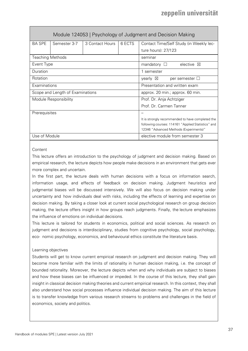<span id="page-36-0"></span>

|                                                   | Module 124053   Psychology of Judgment and Decision Making |                                                    |                               |                                                  |  |
|---------------------------------------------------|------------------------------------------------------------|----------------------------------------------------|-------------------------------|--------------------------------------------------|--|
| <b>BA SPE</b>                                     | Semester 3-7                                               | 3 Contact Hours                                    | 6 ECTS                        | Contact Time/Self Study (in Weekly lec-          |  |
|                                                   |                                                            |                                                    |                               | ture hours): 27/123                              |  |
| <b>Teaching Methods</b>                           |                                                            |                                                    |                               | seminar                                          |  |
| Event Type                                        |                                                            |                                                    |                               | mandatory $\Box$<br>elective $\boxtimes$         |  |
| Duration                                          |                                                            |                                                    |                               | 1 semester                                       |  |
| Rotation                                          |                                                            |                                                    |                               | yearly $\boxtimes$<br>per semester $\Box$        |  |
| Examinations                                      |                                                            |                                                    | Presentation and written exam |                                                  |  |
| Scope and Length of Examinations                  |                                                            | approx. 20 min.; approx. 60 min.                   |                               |                                                  |  |
| Module Responsibility<br>Prof. Dr. Anja Achtziger |                                                            |                                                    |                               |                                                  |  |
| Prof. Dr. Carmen Tanner                           |                                                            |                                                    |                               |                                                  |  |
| Prerequisites                                     |                                                            |                                                    |                               |                                                  |  |
|                                                   |                                                            |                                                    |                               | It is strongly recommended to have completed the |  |
|                                                   |                                                            | following courses: 114161 "Applied Statistics" and |                               |                                                  |  |
|                                                   | 12346 "Advanced Methods (Experiments)"                     |                                                    |                               |                                                  |  |
| Use of Module                                     |                                                            |                                                    |                               | elective module from semester 3                  |  |

### **Content**

This lecture offers an introduction to the psychology of judgment and decision making. Based on empirical research, the lecture depicts how people make decisions in an environment that gets ever more complex and uncertain.

In the first part, the lecture deals with human decisions with a focus on information search, information usage, and effects of feedback on decision making. Judgment heuristics and judgmental biases will be discussed intensively. We will also focus on decision making under uncertainty and how individuals deal with risks, including the effects of learning and expertise on decision making. By taking a closer look at current social psychological research on group decision making, the lecture offers insight in how groups reach judgments. Finally, the lecture emphasizes the influence of emotions on individual decisions.

This lecture is tailored for students in economics, political and social sciences. As research on judgment and decisions is interdisciplinary, studies from cognitive psychology, social psychology, eco- nomic psychology, economics, and behavioural ethics constitute the literature basis.

### Learning objectives

Students will get to know current empirical research on judgment and decision making. They will become more familiar with the limits of rationality in human decision making, i.e. the concept of bounded rationality. Moreover, the lecture depicts when and why individuals are subject to biases and how these biases can be influenced or impeded. In the course of this lecture, they shall gain insight in classical decision making theories and current empirical research. In this context, they shall also understand how social processes influence individual decision making. The aim of this lecture is to transfer knowledge from various research streams to problems and challenges in the field of economics, society and politics.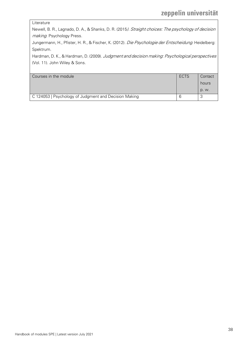### Literature

Newell, B. R., Lagnado, D. A., & Shanks, D. R. (2015). Straight choices: The psychology of decision making. Psychology Press.

Jungermann, H., Pfister, H. R., & Fischer, K. (2012). Die Psychologie der Entscheidung. Heidelberg: Spektrum.

Hardman, D. K., & Hardman, D. (2009). Judgment and decision making: Psychological perspectives (Vol. 11). John Wiley & Sons.

| Courses in the module                                 | ECTS | Contact |
|-------------------------------------------------------|------|---------|
|                                                       |      | hours   |
|                                                       |      | D. W.   |
| C 124053   Psychology of Judgment and Decision Making | 6    |         |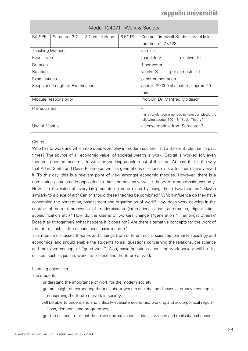<span id="page-38-0"></span>

| Modul 124071   Work & Society                            |              |                                                  |        |                                                |
|----------------------------------------------------------|--------------|--------------------------------------------------|--------|------------------------------------------------|
| <b>BA SPE</b>                                            | Semester 3-7 | 3 Contact Hours                                  | 6 ECTS | Contact Time/Self Study (in weekly lec-        |
|                                                          |              |                                                  |        | ture hours): 27/123                            |
| <b>Teaching Methods</b>                                  |              |                                                  |        | seminar                                        |
| Event Type                                               |              |                                                  |        | mandatory $\square$<br>elective<br>$\boxtimes$ |
| Duration                                                 |              |                                                  |        | 1 semester                                     |
| Rotation<br>yearly $\boxtimes$<br>per semester $\Box$    |              |                                                  |        |                                                |
| Examinations<br>paper, presentation                      |              |                                                  |        |                                                |
| Scope and Length of Examinations                         |              | approx. 20.000 characters; approx. 20            |        |                                                |
|                                                          |              |                                                  |        | min.                                           |
| Prof. Dr. Dr. Manfred Moldaschl<br>Module Responsibility |              |                                                  |        |                                                |
| Prerequisites                                            |              |                                                  |        |                                                |
|                                                          |              | It is strongly recommended to have completed the |        |                                                |
| following course: 100115 "Social Theory"                 |              |                                                  |        |                                                |
| Use of Module                                            |              |                                                  |        | elective module from Semester 3                |

### **Content**

Who has to work and which role does work play in modern society? Is it a different role than in past times? The source of all economic value, of societal wealth is work. Capital is worked for, even though it does not accumulate with the working people most of the time. At least that is the way that Adam Smith and David Ricardo as well as generations of economists after them have viewed it. To this day, this is a relevant point of view amongst economic theories. However, there is a dominating paradigmatic opposition to that: the subjective value theory of a neoclassic economy. How can the value of everyday products be determined by using these two theories? Maybe similarly to a piece of art? Can or should these theories be combined? Which influence do they have concerning the perception, assessment and organization of work? How does work develop in the context of current processes of modernisation (internationalisation, automation, digitalisation, subjectification etc.)? How do the claims of workers change ("generation Y" amongst others)? Does it all fit together? What happens if it does not? Are there alternative concepts for the work of the future, such as the unconditional basic income?

This module discusses theories and findings from different social sciences (primarily sociology and economics) and should enable the students to ask questions concerning the relations, the science and their own concept of "good work". Also, basic questions about the work society will be discussed, such as justice, work-life-balance and the future of work.

### Learning objectives

The students

- | understand the importance of work for the modern society;
- | get an insight on competing theories about work in society and discuss alternative concepts concerning the future of work in society;
- | will be able to understand and critically evaluate economic, working and socio-political regulations, demands and programmes;
- | get the chance, to reflect their own normative ideas, ideals, wishes and realisation chances.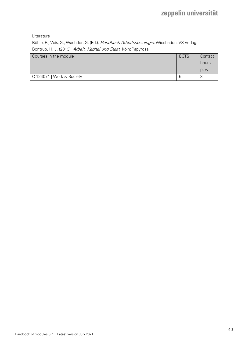Literature

Böhle, F., Voß, G., Wachtler, G. (Ed.). Handbuch Arbeitssoziologie. Wiesbaden: VS Verlag. Bontrup, H. J. (2013). Arbeit, Kapital und Staat. Köln: Papyrosa.

| Courses in the module     | <b>ECTS</b> | Contact        |
|---------------------------|-------------|----------------|
|                           |             | hours          |
|                           |             | D. W.          |
| C 124071   Work & Society | 6           | $\overline{ }$ |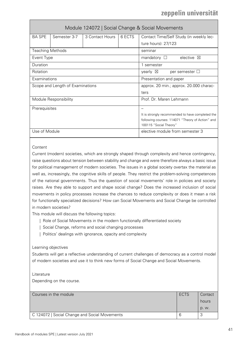<span id="page-40-0"></span>

| Module 124072   Social Change & Social Movements |              |                                                  |                        |                                           |
|--------------------------------------------------|--------------|--------------------------------------------------|------------------------|-------------------------------------------|
| <b>BA SPE</b>                                    | Semester 3-7 | 3 Contact Hours                                  | 6 ECTS                 | Contact Time/Self Study (in weekly lec-   |
|                                                  |              |                                                  |                        | ture hours): 27/123                       |
| <b>Teaching Methods</b>                          |              |                                                  |                        | seminar                                   |
| Event Type                                       |              |                                                  |                        | mandatory $\Box$<br>elective $\boxtimes$  |
| Duration                                         |              |                                                  |                        | 1 semester                                |
| Rotation                                         |              |                                                  |                        | yearly $\boxtimes$<br>per semester $\Box$ |
| Examinations                                     |              |                                                  | Presentation and paper |                                           |
| Scope and Length of Examinations                 |              | approx. 20 min.; approx. 20.000 charac-          |                        |                                           |
|                                                  |              |                                                  |                        | ters                                      |
| Module Responsibility                            |              | Prof. Dr. Maren Lehmann                          |                        |                                           |
| Prerequisites                                    |              |                                                  |                        |                                           |
|                                                  |              | It is strongly recommended to have completed the |                        |                                           |
|                                                  |              | following courses: 114071 "Theory of Action" and |                        |                                           |
|                                                  |              |                                                  |                        | 100115 "Social Theory"                    |
| Use of Module                                    |              |                                                  |                        | elective module from semester 3           |

### **Content**

Current (modern) societies, which are strongly shaped through complexity and hence contingency, raise questions about tension between stability and change and were therefore always a basic issue for political management of modern societies. The issues in a global society overtax the material as well as, increasingly, the cognitive skills of people. They restrict the problem-solving competences of the national governments. Thus the question of social movements' role in policies and society raises. Are they able to support and shape social change? Does the increased inclusion of social movements in policy processes increase the chances to reduce complexity or does it mean a risk for functionally specialized decisions? How can Social Movements and Social Change be controlled in modern societies?

This module will discuss the following topics:

- | Role of Social Movements in the modern functionally differentiated society
- | Social Change, reforms and social changing processes
- | Politics' dealings with ignorance, opacity and complexity

Learning objectives

Students will get a reflective understanding of current challenges of democracy as a control model of modern societies and use it to think new forms of Social Change and Social Movements.

### Literature

Depending on the course.

| Courses in the module                         | ECTS | Contact<br>hours |
|-----------------------------------------------|------|------------------|
|                                               |      | p. w.            |
| C 124072   Social Change and Social Movements | h    |                  |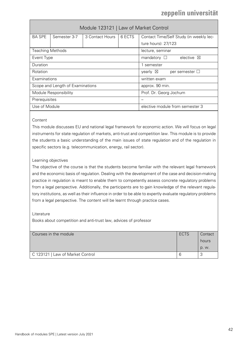<span id="page-41-0"></span>

|                                  | Module 123121   Law of Market Control |                                           |            |                                             |  |
|----------------------------------|---------------------------------------|-------------------------------------------|------------|---------------------------------------------|--|
| <b>BA SPE</b>                    | Semester 3-7                          | 3 Contact Hours                           | 6 ECTS     | Contact Time/Self Study (in weekly lec-     |  |
|                                  |                                       |                                           |            | ture hours): 27/123                         |  |
| <b>Teaching Methods</b>          |                                       |                                           |            | lecture, seminar                            |  |
| Event Type                       |                                       |                                           |            | mandatory $\square$<br>elective $\boxtimes$ |  |
| Duration                         |                                       |                                           | 1 semester |                                             |  |
| Rotation                         |                                       | yearly $\boxtimes$<br>per semester $\Box$ |            |                                             |  |
| Examinations                     |                                       | written exam                              |            |                                             |  |
| Scope and Length of Examinations |                                       | approx. 90 min.                           |            |                                             |  |
| Module Responsibility            |                                       | Prof. Dr. Georg Jochum                    |            |                                             |  |
| Prerequisites                    |                                       |                                           |            |                                             |  |
| Use of Module                    |                                       |                                           |            | elective module from semester 3             |  |

### **Content**

This module discusses EU and national legal framework for economic action. We will focus on legal instruments for state regulation of markets, anti-trust and competition law. This module is to provide the students a basic understanding of the main issues of state regulation and of the regulation in specific sectors (e.g. telecommunication, energy, rail sector).

### Learning objectives

The objective of the course is that the students become familiar with the relevant legal framework and the economic basis of regulation. Dealing with the development of the case and decision-making practice in regulation is meant to enable them to competently assess concrete regulatory problems from a legal perspective. Additionally, the participants are to gain knowledge of the relevant regulatory institutions, as well as their influence in order to be able to expertly evaluate regulatory problems from a legal perspective. The content will be learnt through practice cases.

### Literature

Books about competition and anti-trust law, advices of professor

| Courses in the module            | <b>ECTS</b> | Contact |
|----------------------------------|-------------|---------|
|                                  |             | hours   |
|                                  |             | p. w.   |
| C 123121   Law of Market Control |             |         |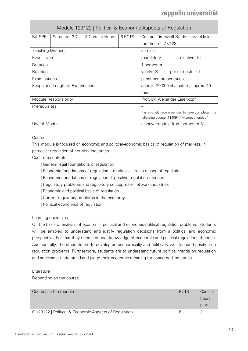<span id="page-42-0"></span>

|                                                       | Module 123122   Political & Economic Aspects of Regulation |                                                  |        |                                             |  |
|-------------------------------------------------------|------------------------------------------------------------|--------------------------------------------------|--------|---------------------------------------------|--|
| <b>BA SPE</b>                                         | Semester 3-7                                               | 3 Contact Hours                                  | 6 ECTS | Contact Time/Self Study (in weekly lec-     |  |
|                                                       |                                                            |                                                  |        | ture hours): 27/123                         |  |
| <b>Teaching Methods</b>                               |                                                            |                                                  |        | seminar                                     |  |
| Event Type                                            |                                                            |                                                  |        | elective $\boxtimes$<br>mandatory $\square$ |  |
| Duration                                              |                                                            |                                                  |        | 1 semester                                  |  |
| Rotation<br>yearly $\boxtimes$<br>per semester $\Box$ |                                                            |                                                  |        |                                             |  |
| Examinations<br>paper and presentation                |                                                            |                                                  |        |                                             |  |
| Scope and Length of Examinations                      |                                                            | approx. 20.000 characters; approx. 40            |        |                                             |  |
|                                                       | min.                                                       |                                                  |        |                                             |  |
|                                                       | Module Responsibility<br>Prof. Dr. Alexander Eisenkopf     |                                                  |        |                                             |  |
| Prerequisites                                         |                                                            |                                                  |        |                                             |  |
|                                                       |                                                            | It is strongly recommended to have completed the |        |                                             |  |
|                                                       | following course: 114091 "Microeconomics"                  |                                                  |        |                                             |  |
| Use of Module                                         |                                                            |                                                  |        | elective module from semester 3             |  |

### **Content**

This module is focused on economic and political-economic basics of regulation of markets, in particular regulation of network industries.

Concrete contents:

| General legal foundations of regulation

| Economic foundations of regulation I: market failure as reason of regulation

| Economic foundations of regulation II: positive regulation theories

| Regulatory problems and regulatory concepts for network industries

| Economic and political basis of regulation

| Current regulatory problems in the economy

| Political economics of regulation

### Learning objectives

On the basis of analysis of economic, political and economic-political regulation problems, students will be enabled to understand and justify regulation decisions from a political and economic perspective. For that they need a deeper knowledge of economic and political regulations theories. Addition- ally, the students are to develop an economically and politically well-founded position on regulation problems. Furthermore, students are to understand future political trends on regulation and anticipate, understand and judge their economic meaning for concerned industries.

### Literature

Depending on the course.

| Courses in the module<br>ECTS                         |   | Contact |
|-------------------------------------------------------|---|---------|
|                                                       |   | hours   |
|                                                       |   | p. w.   |
| C 123122   Political & Economic Aspects of Regulation | 6 |         |
|                                                       |   |         |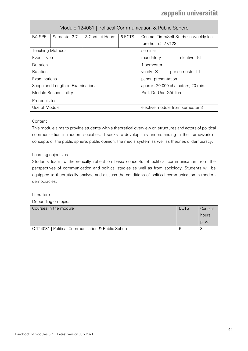<span id="page-43-0"></span>

|                         | Module 124081   Political Communication & Public Sphere |                 |                                           |                                             |  |  |  |
|-------------------------|---------------------------------------------------------|-----------------|-------------------------------------------|---------------------------------------------|--|--|--|
| <b>BA SPE</b>           | Semester 3-7                                            | 3 Contact Hours | 6 ECTS                                    | Contact Time/Self Study (in weekly lec-     |  |  |  |
|                         |                                                         |                 |                                           | ture hours): 27/123                         |  |  |  |
| <b>Teaching Methods</b> |                                                         |                 |                                           | seminar                                     |  |  |  |
| Event Type              |                                                         |                 |                                           | elective $\boxtimes$<br>mandatory $\square$ |  |  |  |
| Duration                |                                                         |                 |                                           | 1 semester                                  |  |  |  |
| Rotation                |                                                         |                 | yearly $\boxtimes$<br>per semester $\Box$ |                                             |  |  |  |
| Examinations            |                                                         |                 | paper, presentation                       |                                             |  |  |  |
|                         | Scope and Length of Examinations                        |                 | approx. 20.000 characters; 20 min.        |                                             |  |  |  |
|                         | Module Responsibility                                   |                 | Prof. Dr. Udo Göttlich                    |                                             |  |  |  |
| Prerequisites           |                                                         |                 |                                           |                                             |  |  |  |
| Use of Module           |                                                         |                 |                                           | elective module from semester 3             |  |  |  |

### **Content**

This module aims to provide students with a theoretical overview on structures and actors of political communication in modern societies. It seeks to develop this understanding in the framework of concepts of the public sphere, public opinion, the media system as well as theories of democracy.

### Learning objectives

Students learn to theoretically reflect on basic concepts of political communication from the perspectives of communication and political studies as well as from sociology. Students will be equipped to theoretically analyse and discuss the conditions of political communication in modern democracies.

### Literature

Depending on topic.

| Courses in the module                              | ECTS | Contact |
|----------------------------------------------------|------|---------|
|                                                    |      | hours   |
|                                                    |      | p. w.   |
| C 124081   Political Communication & Public Sphere |      | ٮ       |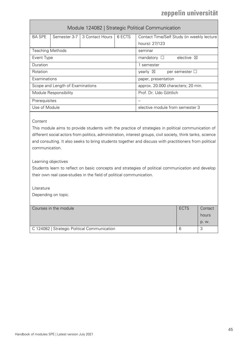<span id="page-44-0"></span>

|                         | Module 124082   Strategic Political Communication |                 |                                              |                                             |  |  |  |  |
|-------------------------|---------------------------------------------------|-----------------|----------------------------------------------|---------------------------------------------|--|--|--|--|
| <b>BA SPE</b>           | Semester 3-7                                      | 3 Contact Hours | 6 FCTS                                       | Contact Time/Self Study (in weekly lecture  |  |  |  |  |
|                         |                                                   |                 |                                              | hours): 27/123                              |  |  |  |  |
| <b>Teaching Methods</b> |                                                   |                 |                                              | seminar                                     |  |  |  |  |
| Event Type              |                                                   |                 |                                              | mandatory $\square$<br>elective $\boxtimes$ |  |  |  |  |
| Duration                |                                                   |                 | 1 semester                                   |                                             |  |  |  |  |
| Rotation                |                                                   |                 | yearly $\boxtimes$<br>per semester $\square$ |                                             |  |  |  |  |
| Examinations            |                                                   |                 | paper, presentation                          |                                             |  |  |  |  |
|                         | Scope and Length of Examinations                  |                 | approx. 20.000 characters; 20 min.           |                                             |  |  |  |  |
| Module Responsibility   |                                                   |                 |                                              | Prof. Dr. Udo Göttlich                      |  |  |  |  |
| Prerequisites           |                                                   |                 |                                              |                                             |  |  |  |  |
| Use of Module           |                                                   |                 |                                              | elective module from semester 3             |  |  |  |  |

### Content

This module aims to provide students with the practice of strategies in political communication of different social actors from politics, administration, interest groups, civil society, think tanks, science and consulting. It also seeks to bring students together and discuss with practitioners from political communication.

### Learning objectives

Students learn to reflect on basic concepts and strategies of political communication and develop their own real case-studies in the field of political communication.

Literature

Depending on topic.

| Courses in the module                        | <b>ECTS</b> | Contact |
|----------------------------------------------|-------------|---------|
|                                              |             | hours   |
|                                              |             | p. w.   |
| C 124082   Strategic Political Communication |             | J       |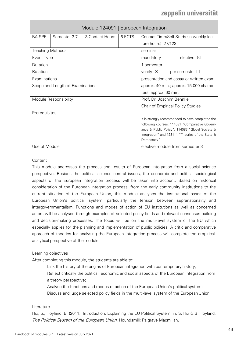<span id="page-45-0"></span>

|                         |                                  |                 | Module 124091   European Integration                           |                                           |  |
|-------------------------|----------------------------------|-----------------|----------------------------------------------------------------|-------------------------------------------|--|
| <b>BA SPE</b>           | Semester 3-7                     | 3 Contact Hours | 6 ECTS                                                         | Contact Time/Self Study (in weekly lec-   |  |
|                         |                                  |                 |                                                                | ture hours): 27/123                       |  |
| <b>Teaching Methods</b> |                                  |                 |                                                                | seminar                                   |  |
| Event Type              |                                  |                 |                                                                | elective $\boxtimes$<br>mandatory $\Box$  |  |
| Duration                |                                  |                 |                                                                | 1 semester                                |  |
| Rotation                |                                  |                 |                                                                | yearly $\boxtimes$<br>per semester $\Box$ |  |
| Examinations            |                                  |                 |                                                                | presentation and essay or written exam    |  |
|                         | Scope and Length of Examinations |                 |                                                                | approx. 40 min.; approx. 15.000 charac-   |  |
|                         |                                  |                 |                                                                | ters; approx. 60 min.                     |  |
|                         | Module Responsibility            |                 |                                                                | Prof. Dr. Joachim Behnke                  |  |
|                         |                                  |                 | <b>Chair of Empirical Policy Studies</b>                       |                                           |  |
| Prerequisites           |                                  |                 |                                                                |                                           |  |
|                         |                                  |                 | It is strongly recommended to have completed the               |                                           |  |
|                         |                                  |                 | following courses: 114081 "Comparative Govern-                 |                                           |  |
|                         |                                  |                 | ance & Public Policy", 114083 "Global Society &                |                                           |  |
|                         |                                  |                 | Integration" and 123111 "Theories of the State &<br>Democracy" |                                           |  |
| Use of Module           |                                  |                 | elective module from semester 3                                |                                           |  |

### **Content**

This module addresses the process and results of European integration from a social science perspective. Besides the political science central issues, the economic and political-sociological aspects of the European integration process will be taken into account. Based on historical consideration of the European integration process, from the early community institutions to the current situation of the European Union, this module analyses the institutional bases of the European Union's political system, particularly the tension between supranationality and intergovernmentalism. Functions and modes of action of EU institutions as well as concerned actors will be analysed through examples of selected policy fields and relevant consensus building and decision-making processes. The focus will be on the multi-level system of the EU which especially applies for the planning and implementation of public policies. A critic and comparative approach of theories for analysing the European integration process will complete the empiricalanalytical perspective of the module.

### Learning objectives

After completing this module, the students are able to:

- Link the history of the origins of European integration with contemporary history;
- Reflect critically the political, economic and social aspects of the European integration from a theory perspective;
- Analyse the functions and modes of action of the European Union's political system;
- Discuss and judge selected policy fields in the multi-level system of the European Union.

### Literature

Hix, S., Hoyland, B. (2011). Introduction: Explaining the EU Political System, in: S. Hix & B. Hoyland, The Political System of the European Union. Houndsmill: Palgrave Macmillan.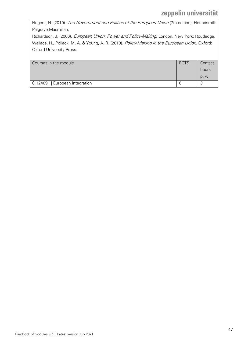Nugent, N. (2010). The Government and Politics of the European Union (7th edition). Houndsmill: Palgrave Macmillan.

Richardson, J. (2006). European Union: Power and Policy-Making. London, New York: Routledge. Wallace, H., Pollack, M. A. & Young, A. R. (2010). Policy-Making in the European Union. Oxford: Oxford University Press.

| Courses in the module           | <b>ECTS</b> | Contact |
|---------------------------------|-------------|---------|
|                                 |             | hours   |
|                                 |             | p. w.   |
| C 124091   European Integration | b           |         |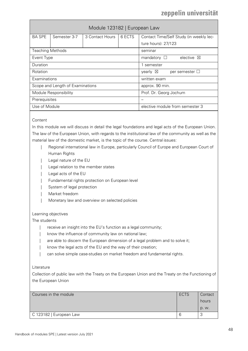<span id="page-47-0"></span>

|                         | Module 123182   European Law     |                 |                                 |                                              |  |  |  |
|-------------------------|----------------------------------|-----------------|---------------------------------|----------------------------------------------|--|--|--|
| <b>BA SPE</b>           | Semester 3-7                     | 3 Contact Hours | 6 ECTS                          | Contact Time/Self Study (in weekly lec-      |  |  |  |
|                         |                                  |                 |                                 | ture hours): 27/123                          |  |  |  |
| <b>Teaching Methods</b> |                                  |                 |                                 | seminar                                      |  |  |  |
| Event Type              |                                  |                 |                                 | elective $\boxtimes$<br>mandatory $\Box$     |  |  |  |
| Duration                |                                  |                 |                                 | 1 semester                                   |  |  |  |
| Rotation                |                                  |                 |                                 | yearly $\boxtimes$<br>per semester $\square$ |  |  |  |
| Examinations            |                                  |                 | written exam                    |                                              |  |  |  |
|                         | Scope and Length of Examinations |                 |                                 | approx. 90 min.                              |  |  |  |
| Module Responsibility   |                                  |                 |                                 | Prof. Dr. Georg Jochum                       |  |  |  |
| Prerequisites           |                                  |                 |                                 |                                              |  |  |  |
| Use of Module           |                                  |                 | elective module from semester 3 |                                              |  |  |  |

### **Content**

In this module we will discuss in detail the legal foundations and legal acts of the European Union. The law of the European Union, with regards to the institutional law of the community as well as the material law of the domestic market, is the topic of the course. Central issues:

- Regional international law in Europe, particularly Council of Europe and European Court of Human Rights
- Legal nature of the EU
- Legal relation to the member states
- Legal acts of the EU
- | Fundamental rights protection on European level
- System of legal protection
- | Market freedom
- Monetary law and overview on selected policies

### Learning objectives

The students

- receive an insight into the EU's function as a legal community;
- know the influence of community law on national law;
- are able to discern the European dimension of a legal problem and to solve it;
- know the legal acts of the EU and the way of their creation;
- can solve simple case-studies on market freedom and fundamental rights.

### Literature

Collection of public law with the Treaty on the European Union and the Treaty on the Functioning of the European Union

| Courses in the module   | <b>ECTS</b> | Contact |
|-------------------------|-------------|---------|
|                         |             | hours   |
|                         |             | D. W.   |
| C 123182   European Law |             | v.      |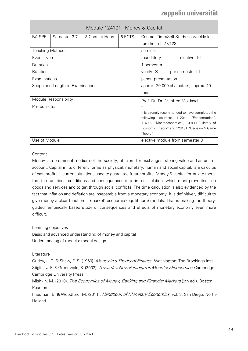<span id="page-48-0"></span>

| Module 124101   Money & Capital  |              |                 |                                                         |                                             |  |  |
|----------------------------------|--------------|-----------------|---------------------------------------------------------|---------------------------------------------|--|--|
| <b>BA SPE</b>                    | Semester 3-7 | 3 Contact Hours | 6 ECTS                                                  | Contact Time/Self Study (in weekly lec-     |  |  |
|                                  |              |                 |                                                         | ture hours): 27/123                         |  |  |
| <b>Teaching Methods</b>          |              |                 |                                                         | seminar                                     |  |  |
| Event Type                       |              |                 |                                                         | elective $\boxtimes$<br>mandatory $\square$ |  |  |
| Duration                         |              |                 |                                                         | 1 semester                                  |  |  |
| Rotation                         |              |                 |                                                         | yearly $\boxtimes$<br>per semester $\Box$   |  |  |
| Examinations                     |              |                 |                                                         | paper, presentation                         |  |  |
| Scope and Length of Examinations |              |                 |                                                         | approx. 20.000 characters; approx. 40       |  |  |
|                                  |              |                 | min.                                                    |                                             |  |  |
| Module Responsibility            |              |                 |                                                         | Prof. Dr. Dr. Manfred Moldaschl             |  |  |
| Prerequisites                    |              |                 |                                                         |                                             |  |  |
|                                  |              |                 | It is strongly recommended to have completed the        |                                             |  |  |
|                                  |              |                 | 112044 "Econometrics",<br>following courses:            |                                             |  |  |
|                                  |              |                 |                                                         | 114092 "Macroeconomics", 100111 "History of |  |  |
|                                  |              |                 | Economic Theory" and 123131 "Decision & Game<br>Theory" |                                             |  |  |
| Use of Module                    |              |                 |                                                         | elective module from semester 3             |  |  |

### Content

Money is a prominent medium of the society, efficient for exchanges, storing value and as unit of account. Capital in its different forms as physical, monetary, human and social capital, is a calculus of past profits in current situations used to guarantee future profits. Money & capital formulate therefore the functional conditions and consequences of a time calculation, which must prove itself on goods and services and to get through social conflicts. The time calculation is also evidenced by the fact that inflation and deflation are inseparable from a monetary economy. It is definitively difficult to give money a clear function in (market) economic (equilibrium) models. That is making the theoryguided, empirically based study of consequences and effects of monetary economy even more difficult.

Learning objectives

Basic and advanced understanding of money and capital Understanding of models: model design

Literature

Gurley, J. G. & Shaw, E. S. (1960). Money in a Theory of Finance. Washington: The Brookings Inst. Stiglitz, J. E. & Greenwald, B. (2003). Towards a New Paradigm in Monetary Economics. Cambridge: Cambridge University Press.

Mishkin, M. (2010). The Economics of Money, Banking and Financial Markets (9th ed.). Boston: Pearson.

Friedman, B. & Woodford, M. (2011). Handbook of Monetary Economics, vol. 3. San Diego: North-Holland.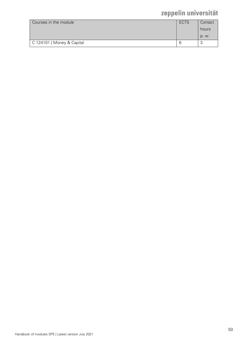| Courses in the module      | ECTS | Contact |
|----------------------------|------|---------|
|                            |      | hours   |
|                            |      | p. w.   |
| C 124101   Money & Capital |      | з.      |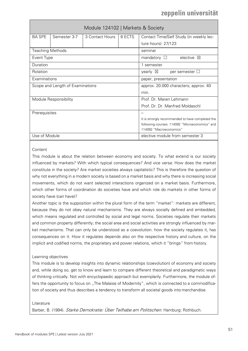<span id="page-50-0"></span>

|                         |                                  | Module 124102   Markets & Society |                                                                           |                                             |  |
|-------------------------|----------------------------------|-----------------------------------|---------------------------------------------------------------------------|---------------------------------------------|--|
| <b>BA SPE</b>           | Semester 3-7                     | 3 Contact Hours                   | 6 ECTS                                                                    | Contact Time/Self Study (in weekly lec-     |  |
|                         |                                  |                                   |                                                                           | ture hours): 27/123                         |  |
| <b>Teaching Methods</b> |                                  |                                   |                                                                           | seminar                                     |  |
| Event Type              |                                  |                                   |                                                                           | elective $\boxtimes$<br>mandatory $\square$ |  |
| Duration                |                                  |                                   |                                                                           | 1 semester                                  |  |
| Rotation                |                                  |                                   |                                                                           | yearly $\boxtimes$<br>per semester $\Box$   |  |
| Examinations            |                                  |                                   |                                                                           | paper, presentation                         |  |
|                         | Scope and Length of Examinations |                                   |                                                                           | approx. 20.000 characters; approx. 40       |  |
|                         |                                  |                                   | min.                                                                      |                                             |  |
|                         | Module Responsibility            |                                   |                                                                           | Prof. Dr. Maren Lehmann                     |  |
|                         |                                  |                                   | Prof. Dr. Dr. Manfred Moldaschl                                           |                                             |  |
| Prerequisites           |                                  |                                   |                                                                           |                                             |  |
|                         |                                  |                                   | It is strongly recommended to have completed the                          |                                             |  |
|                         |                                  |                                   | following courses: 114092 "Microeconomics" and<br>114092 "Macroeconomics" |                                             |  |
| Use of Module           |                                  |                                   |                                                                           | elective module from semester 3             |  |

### **Content**

This module is about the relation between economy and society. To what extend is our society influenced by markets? With which typical consequences? And vice versa: How does the market constitute in the society? Are market societies always capitalistic? This is therefore the question of why not everything in a modern society is based on a market basis and why there is increasing social movements, which do not want selected interactions organized on a market basis. Furthermore, which other forms of coordination do societies have and which role do markets in other forms of society have (can have)?

Another topic is the supposition within the plural form of the term "market": markets are different, because they do not obey natural mechanisms. They are always socially defined and embedded, which means regulated and controlled by social and legal norms. Societies regulate their markets and common property differently; the social area and social activities are strongly influenced by market mechanisms. That can only be understood as a coevolution: how the society regulates it, has consequences on it. How it regulates depends also on the respective history and culture, on the implicit and codified norms, the proprietary and power relations, which it "brings" from history.

### Learning objectives

This module is to develop insights into dynamic relationships (coevolution) of economy and society and, while doing so, get to know and learn to compare different theoretical and paradigmatic ways of thinking critically. Not with encyclopaedic approach but exemplarily. Furthermore, the module offers the opportunity to focus on "The Malaise of Modernity", which is connected to a commodification of society and thus describes a tendency to transform all societal goods into merchandise.

### Literature

Barber, B. (1994). Starke Demokratie: Über Teilhabe am Politischen. Hamburg: Rothbuch.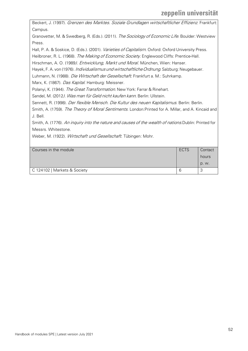Beckert, J. (1997). Grenzen des Marktes. Soziale Grundlagen wirtschaftlicher Effizienz. Frankfurt: Campus. Granovetter, M. & Swedberg, R. (Eds.). (2011). The Sociology of Economic Life. Boulder: Westview Press. Hall, P. A. & Soskice, D. (Eds.). (2001). Varieties of Capitalism. Oxford: Oxford University Press. Heilbroner, R. L. (1968). The Making of Economic Society. Englewood Cliffs: Prentice-Hall. Hirschman, A. O. (1989). Entwicklung, Markt und Moral. München, Wien: Hanser. Hayek, F. A. von (1976). *Individualismus und wirtschaftliche Ordnung*. Salzburg: Neugebauer. Luhmann, N. (1988). Die Wirtschaft der Gesellschaft. Frankfurt a. M.: Suhrkamp. Marx, K. (1867). Das Kapital. Hamburg: Meissner. Polanyi, K. (1944). The Great Transformation. New York: Farrar & Rinehart. Sandel, M. (2012). Was man für Geld nicht kaufen kann. Berlin: Ullstein. Sennett, R. (1998). Der flexible Mensch. Die Kultur des neuen Kapitalismus. Berlin: Berlin. Smith, A. (1759). *The Theory of Moral Sentiments*. London:Printed for A. Millar, and A. Kincaid and J. Bell. Smith, A. (1776). An inquiry into the nature and causes of the wealth of nations. Dublin: Printed for Messrs. Whitestone. Weber, M. (1922). Wirtschaft und Gesellschaft. Tübingen: Mohr. Courses in the module **ECTS** Contact **Contact** hours p. w.

C 124102 | Markets & Society 6 3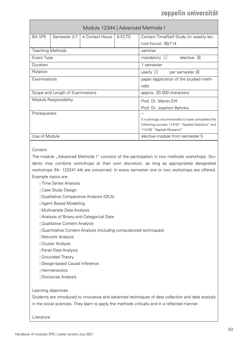<span id="page-52-0"></span>

| Module 12344   Advanced Methods I |                       |                   |                                                    |                                             |  |  |
|-----------------------------------|-----------------------|-------------------|----------------------------------------------------|---------------------------------------------|--|--|
| <b>BA SPE</b>                     | Semester 3-7          | 4 Contact Hours I | 6 ECTS                                             | Contact Time/Self Study (in weekly lec-     |  |  |
|                                   |                       |                   |                                                    | ture hours): 36/114                         |  |  |
| <b>Teaching Methods</b>           |                       |                   |                                                    | seminar                                     |  |  |
| Event Type                        |                       |                   |                                                    | elective $\boxtimes$<br>mandatory $\square$ |  |  |
| Duration                          |                       |                   |                                                    | 1 semester                                  |  |  |
| Rotation                          |                       |                   |                                                    | yearly $\Box$<br>per semester $\boxtimes$   |  |  |
| Examinations                      |                       |                   |                                                    | paper (application of the studied meth-     |  |  |
|                                   |                       |                   | ods)                                               |                                             |  |  |
| Scope and Length of Examinations  |                       |                   |                                                    | approx. 20.000 characters                   |  |  |
|                                   | Module Responsibility |                   | Prof. Dr. Martin Elff                              |                                             |  |  |
|                                   |                       |                   | Prof. Dr. Joachim Behnke                           |                                             |  |  |
| Prerequisites                     |                       |                   |                                                    |                                             |  |  |
|                                   |                       |                   | It is strongly recommended to have completed the   |                                             |  |  |
|                                   |                       |                   | following courses: 114161 "Applied Statistics" and |                                             |  |  |
|                                   |                       |                   |                                                    | 114162 "Applied Research"                   |  |  |
| Use of Module                     |                       |                   | elective module from semester 5                    |                                             |  |  |

### Content

The module "Advanced Methods I" consists of the participation in two methods workshops. Students may combine workshops at their own discretion, as long as appropriately designated workshops (Nr. 123241-44) are concerned. In every semester one or two workshops are offered. Example topics are:

| Time Series Analysis

| Case Study Design

| Qualitative Comparative Analysis (QCA)

| Agent Based Modelling

| Multivariate Data Analysis

| Analysis of Binary and Categorical Data

| Qualitative Content Analysis

| Quantitative Content Analysis (including computerized techniques)

| Network Analysis

| Cluster Analyse

| Panel Data Analysis

| Grounded Theory

| Design-based Causal Inference

| Hermeneutics

| Discourse Analysis

Learning objectives

Students are introduced to innovative and advanced techniques of data collection and data analysis in the social sciences. They learn to apply the methods critically and in a reflected manner.

Literature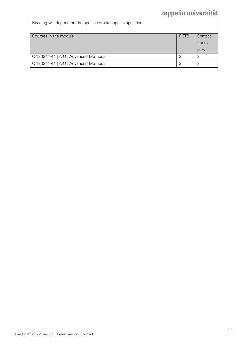| Reading will depend on the specific workshops as specified |             |         |
|------------------------------------------------------------|-------------|---------|
| Courses in the module                                      | <b>ECTS</b> | Contact |
|                                                            |             | hours   |
|                                                            |             | p. w.   |
| C 123241-44   A-O   Advanced Methods                       | 3           |         |
| C 123241-44   A-O   Advanced Methods                       | っ           |         |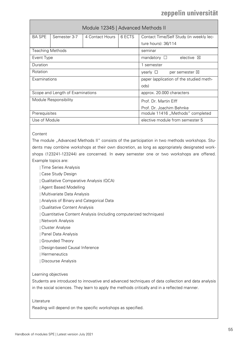<span id="page-54-0"></span>

|                                                               | Module 12345   Advanced Methods II |                                              |                                  |                                         |  |
|---------------------------------------------------------------|------------------------------------|----------------------------------------------|----------------------------------|-----------------------------------------|--|
| <b>BA SPE</b>                                                 | Semester 3-7                       | 4 Contact Hours                              | 6 ECTS                           | Contact Time/Self Study (in weekly lec- |  |
|                                                               |                                    |                                              |                                  | ture hours): 36/114                     |  |
| <b>Teaching Methods</b>                                       |                                    |                                              |                                  | seminar                                 |  |
| Event Type                                                    |                                    |                                              |                                  | elective<br>mandatory $\square$<br>⊠    |  |
| Duration                                                      |                                    |                                              |                                  | 1 semester                              |  |
| Rotation                                                      |                                    | yearly $\square$<br>per semester $\boxtimes$ |                                  |                                         |  |
| Examinations                                                  |                                    | paper (application of the studied meth-      |                                  |                                         |  |
|                                                               |                                    |                                              |                                  | ods)                                    |  |
| Scope and Length of Examinations<br>approx. 20.000 characters |                                    |                                              |                                  |                                         |  |
| Module Responsibility                                         |                                    | Prof. Dr. Martin Flff                        |                                  |                                         |  |
|                                                               |                                    |                                              | Prof. Dr. Joachim Behnke         |                                         |  |
| Prerequisites                                                 |                                    |                                              | module 11416 "Methods" completed |                                         |  |
| Use of Module                                                 |                                    |                                              |                                  | elective module from semester 5         |  |

### **Content**

The module "Advanced Methods II" consists of the participation in two methods workshops. Students may combine workshops at their own discretion, as long as appropriately designated workshops (123241-123244) are concerned. In every semester one or two workshops are offered. Example topics are:

- | Time Series Analysis
- | Case Study Design
- | Qualitative Comparative Analysis (QCA)
- | Agent Based Modelling
- | Multivariate Data Analysis
- | Analysis of Binary and Categorical Data
- | Qualitative Content Analysis
- | Quantitative Content Analysis (including computerized techniques)
- | Network Analysis
- | Cluster Analyse
- | Panel Data Analysis
- | Grounded Theory
- | Design-based Causal Inference
- | Hermeneutics
- | Discourse Analysis

### Learning objectives

Students are introduced to innovative and advanced techniques of data collection and data analysis in the social sciences. They learn to apply the methods critically and in a reflected manner.

#### Literature

Reading will depend on the specific workshops as specified.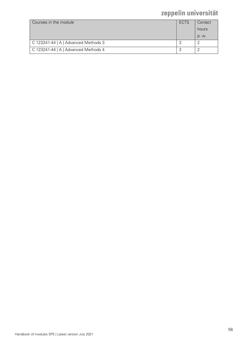| Courses in the module                | ECTS | Contact |
|--------------------------------------|------|---------|
|                                      |      | hours   |
|                                      |      | p. w.   |
| C 123241-44   A   Advanced Methods 3 |      |         |
| C 123241-44   A   Advanced Methods 4 |      |         |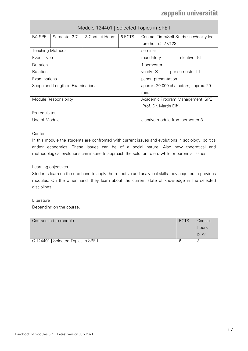<span id="page-56-0"></span>

|                                  | Module 124401   Selected Topics in SPE I |                                           |                         |                                             |  |  |
|----------------------------------|------------------------------------------|-------------------------------------------|-------------------------|---------------------------------------------|--|--|
| <b>BA SPE</b>                    | Semester 3-7                             | 3 Contact Hours                           | 6 ECTS                  | Contact Time/Self Study (in Weekly lec-     |  |  |
|                                  |                                          |                                           |                         | ture hours): 27/123                         |  |  |
| <b>Teaching Methods</b>          |                                          |                                           |                         | seminar                                     |  |  |
| Event Type                       |                                          |                                           |                         | elective $\boxtimes$<br>mandatory $\square$ |  |  |
| Duration                         |                                          |                                           |                         | 1 semester                                  |  |  |
| Rotation                         |                                          | yearly $\boxtimes$<br>per semester $\Box$ |                         |                                             |  |  |
| Examinations                     |                                          |                                           | paper, presentation     |                                             |  |  |
| Scope and Length of Examinations |                                          | approx. 20.000 characters; approx. 20     |                         |                                             |  |  |
|                                  |                                          |                                           |                         | min.                                        |  |  |
|                                  | Module Responsibility                    |                                           |                         | Academic Program Management SPE             |  |  |
|                                  |                                          |                                           | (Prof. Dr. Martin Elff) |                                             |  |  |
| Prerequisites                    |                                          |                                           |                         |                                             |  |  |
| Use of Module                    |                                          |                                           |                         | elective module from semester 3             |  |  |

### Content

In this module the students are confronted with current issues and evolutions in sociology, politics and/or economics. These issues can be of a social nature. Also new theoretical and methodological evolutions can inspire to approach the solution to erstwhile or perennial issues.

#### Learning objectives

Students learn on the one hand to apply the reflective and analytical skills they acquired in previous modules. On the other hand, they learn about the current state of knowledge in the selected disciplines.

### Literature

Depending on the course.

| Courses in the module               | <b>ECTS</b> | Contact |
|-------------------------------------|-------------|---------|
|                                     |             | hours   |
|                                     |             | p. w.   |
| C 124401   Selected Topics in SPE I | 6           | $\sim$  |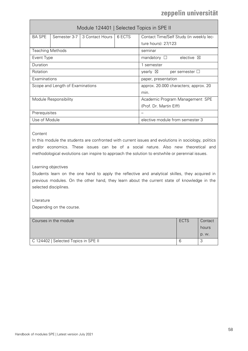<span id="page-57-0"></span>

|                                  | Module 124401   Selected Topics in SPE II |                                           |                                 |                                          |  |
|----------------------------------|-------------------------------------------|-------------------------------------------|---------------------------------|------------------------------------------|--|
| <b>BA SPE</b>                    | Semester 3-7                              | 3 Contact Hours I                         | 6 ECTS                          | Contact Time/Self Study (in weekly lec-  |  |
|                                  |                                           |                                           |                                 | ture hours): 27/123                      |  |
| <b>Teaching Methods</b>          |                                           |                                           |                                 | seminar                                  |  |
| Event Type                       |                                           |                                           |                                 | mandatory $\Box$<br>elective $\boxtimes$ |  |
| Duration                         |                                           |                                           |                                 | 1 semester                               |  |
| Rotation                         |                                           | yearly $\boxtimes$<br>per semester $\Box$ |                                 |                                          |  |
| Examinations                     |                                           | paper, presentation                       |                                 |                                          |  |
| Scope and Length of Examinations |                                           | approx. 20.000 characters; approx. 20     |                                 |                                          |  |
|                                  |                                           |                                           |                                 | min.                                     |  |
| Module Responsibility            |                                           |                                           | Academic Program Management SPE |                                          |  |
|                                  |                                           |                                           | (Prof. Dr. Martin Elff)         |                                          |  |
| Prerequisites                    |                                           |                                           |                                 |                                          |  |
| Use of Module                    |                                           |                                           |                                 | elective module from semester 3          |  |
|                                  |                                           |                                           |                                 |                                          |  |

**Content** 

In this module the students are confronted with current issues and evolutions in sociology, politics and/or economics. These issues can be of a social nature. Also new theoretical and methodological evolutions can inspire to approach the solution to erstwhile or perennial issues.

### Learning objectives

Students learn on the one hand to apply the reflective and analytical skilles, they acquired in previous modules. On the other hand, they learn about the current state of knowledge in the selected disciplines.

Literature Depending on the course.

| Courses in the module                | ECTS | Contact<br>hours |
|--------------------------------------|------|------------------|
|                                      |      | p. w.            |
| C 124402   Selected Topics in SPE II | b    | ٮ                |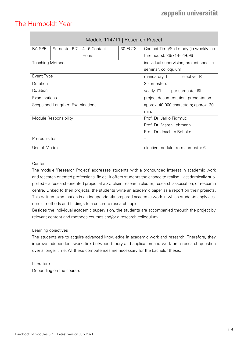### <span id="page-58-0"></span>The Humboldt Year

<span id="page-58-1"></span>

|                                  | Module 114711   Research Project |                                           |         |                                          |  |
|----------------------------------|----------------------------------|-------------------------------------------|---------|------------------------------------------|--|
| <b>BA SPE</b>                    | Semester 6-7                     | 4 - 6 Contact                             | 30 ECTS | Contact Time/Self study (in weekly lec-  |  |
|                                  |                                  | Hours                                     |         | ture hours): 36/714-54/696               |  |
| <b>Teaching Methods</b>          |                                  |                                           |         | individual supervision, project-specific |  |
|                                  |                                  |                                           |         | seminar, colloquium                      |  |
| Event Type                       |                                  |                                           |         | mandatory $\square$<br>elective <b>図</b> |  |
| Duration                         |                                  |                                           |         | 2 semesters                              |  |
| Rotation                         |                                  | yearly $\square$<br>per semester <b>X</b> |         |                                          |  |
| Examinations                     |                                  | project documentation, presentation       |         |                                          |  |
| Scope and Length of Examinations |                                  | approx. 40.000 characters; approx. 20     |         |                                          |  |
|                                  |                                  | min.                                      |         |                                          |  |
|                                  | Module Responsibility            |                                           |         | Prof. Dr. Jarko Fidrmuc                  |  |
|                                  |                                  |                                           |         | Prof. Dr. Maren Lehmann                  |  |
|                                  |                                  | Prof. Dr. Joachim Behnke                  |         |                                          |  |
| Prerequisites                    |                                  |                                           |         |                                          |  |
| Use of Module                    |                                  |                                           |         | elective module from semester 6          |  |

### **Content**

The module "Research Project" addresses students with a pronounced interest in academic work and research-oriented professional fields. It offers students the chance to realise – academically supported – a research-oriented project at a ZU chair, research cluster, research association, or research centre. Linked to their projects, the students write an academic paper as a report on their projects. This written examination is an independently prepared academic work in which students apply academic methods and findings to a concrete research topic.

Besides the individual academic supervision, the students are accompanied through the project by relevant content and methods courses and/or a research colloquium.

### Learning objectives

The students are to acquire advanced knowledge in academic work and research. Therefore, they improve independent work, link between theory and application and work on a research question over a longer time. All these competences are necessary for the bachelor thesis.

Literature Depending on the course.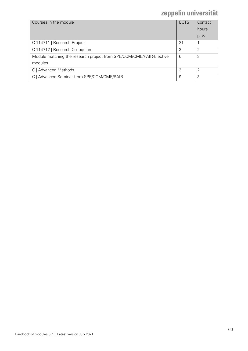| Courses in the module                                               | <b>ECTS</b> | Contact |
|---------------------------------------------------------------------|-------------|---------|
|                                                                     |             | hours   |
|                                                                     |             | p. w.   |
| C 114711   Research Project                                         | 21          |         |
| C 114712   Research Colloquium                                      | 3           | ↷       |
| Module matching the research project from SPE/CCM/CME/PAIR-Elective | 6           | 3       |
| modules                                                             |             |         |
| C   Advanced Methods                                                | 3           | っ       |
| C   Advanced Seminar from SPE/CCM/CME/PAIR                          | 9           | 3       |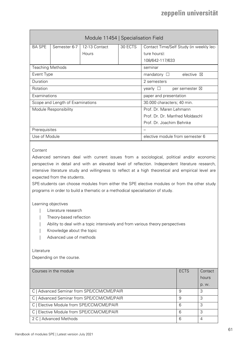<span id="page-60-0"></span>

| Module 11454   Specialisation Field |                       |                                              |         |                                          |  |
|-------------------------------------|-----------------------|----------------------------------------------|---------|------------------------------------------|--|
| <b>BA SPE</b>                       | Semester 6-7          | 12-13 Contact                                | 30 ECTS | Contact Time/Self Study (in weekly lec-  |  |
|                                     |                       | Hours                                        |         | ture hours):                             |  |
|                                     |                       |                                              |         | 108/642-117/633                          |  |
| <b>Teaching Methods</b>             |                       |                                              |         | seminar                                  |  |
| Event Type                          |                       |                                              |         | elective $\boxtimes$<br>mandatory $\Box$ |  |
| Duration                            |                       | 2 semesters                                  |         |                                          |  |
| Rotation                            |                       | yearly $\square$<br>per semester $\boxtimes$ |         |                                          |  |
| Examinations                        |                       | paper and presentation                       |         |                                          |  |
| Scope and Length of Examinations    |                       | 30.000 characters; 40 min.                   |         |                                          |  |
|                                     | Module Responsibility |                                              |         | Prof. Dr. Maren Lehmann                  |  |
|                                     |                       |                                              |         | Prof. Dr. Dr. Manfred Moldaschl          |  |
|                                     |                       |                                              |         | Prof. Dr. Joachim Behnke                 |  |
| Prerequisites                       |                       |                                              |         |                                          |  |
| Use of Module                       |                       |                                              |         | elective module from semester 6          |  |
|                                     |                       |                                              |         |                                          |  |

### Content

Advanced seminars deal with current issues from a sociological, political and/or economic perspective in detail and with an elevated level of reflection. Independent literature research, intensive literature study and willingness to reflect at a high theoretical and empirical level are expected from the students.

SPE-students can choose modules from either the SPE elective modules or from the other study programs in order to build a thematic or a methodical specialisation of study.

### Learning objectives

- | Literature research
- Theory-based reflection
- Ability to deal with a topic intensively and from various theory perspectives
- Knowledge about the topic
- Advanced use of methods

### Literature

Depending on the course.

| Courses in the module                      | <b>ECTS</b> | Contact |
|--------------------------------------------|-------------|---------|
|                                            |             | hours   |
|                                            |             | p. w.   |
| C   Advanced Seminar from SPE/CCM/CME/PAIR | 9           | 3       |
| C   Advanced Seminar from SPE/CCM/CME/PAIR | 9           | 3       |
| C   Elective Module from SPE/CCM/CME/PAIR  | 6           | 3       |
| C   Elective Module from SPE/CCM/CME/PAIR  | 6           | 3       |
| 2 C   Advanced Methods                     | 6           | 4       |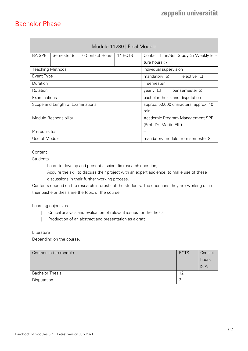### <span id="page-61-0"></span>Bachelor Phase

<span id="page-61-1"></span>

|                                                                                                                                                                                                                                                                                                                                                                                                                                                                                                                                                                      | Module 11280   Final Module      |                 |         |                                               |                          |         |
|----------------------------------------------------------------------------------------------------------------------------------------------------------------------------------------------------------------------------------------------------------------------------------------------------------------------------------------------------------------------------------------------------------------------------------------------------------------------------------------------------------------------------------------------------------------------|----------------------------------|-----------------|---------|-----------------------------------------------|--------------------------|---------|
| <b>BA SPE</b>                                                                                                                                                                                                                                                                                                                                                                                                                                                                                                                                                        | Semester 8                       | 0 Contact Hours | 14 ECTS | Contact Time/Self Study (in Weekly lec-       |                          |         |
|                                                                                                                                                                                                                                                                                                                                                                                                                                                                                                                                                                      |                                  |                 |         | ture hours): /                                |                          |         |
| <b>Teaching Methods</b>                                                                                                                                                                                                                                                                                                                                                                                                                                                                                                                                              |                                  |                 |         | individual supervision                        |                          |         |
| Event Type                                                                                                                                                                                                                                                                                                                                                                                                                                                                                                                                                           |                                  |                 |         | mandatory $\boxtimes$                         | elective $\square$       |         |
| Duration                                                                                                                                                                                                                                                                                                                                                                                                                                                                                                                                                             |                                  |                 |         | 1 semester                                    |                          |         |
| Rotation                                                                                                                                                                                                                                                                                                                                                                                                                                                                                                                                                             |                                  |                 |         | yearly $\Box$                                 | per semester $\boxtimes$ |         |
| Examinations                                                                                                                                                                                                                                                                                                                                                                                                                                                                                                                                                         |                                  |                 |         | bachelor-thesis and disputation               |                          |         |
|                                                                                                                                                                                                                                                                                                                                                                                                                                                                                                                                                                      | Scope and Length of Examinations |                 |         | approx. 50.000 characters; approx. 40<br>min. |                          |         |
|                                                                                                                                                                                                                                                                                                                                                                                                                                                                                                                                                                      | Module Responsibility            |                 |         | Academic Program Management SPE               |                          |         |
|                                                                                                                                                                                                                                                                                                                                                                                                                                                                                                                                                                      |                                  |                 |         | (Prof. Dr. Martin Elff)                       |                          |         |
| Prerequisites                                                                                                                                                                                                                                                                                                                                                                                                                                                                                                                                                        |                                  |                 |         |                                               |                          |         |
| Use of Module                                                                                                                                                                                                                                                                                                                                                                                                                                                                                                                                                        |                                  |                 |         | mandatory module from semester 8              |                          |         |
| Content<br><b>Students</b><br>Learn to develop and present a scientific research question;<br>Acquire the skill to discuss their project with an expert audience, to make use of these<br>discussions in their further working process.<br>Contents depend on the research interests of the students. The questions they are working on in<br>their bachelor thesis are the topic of the course.<br>Learning objectives<br>Critical analysis and evaluation of relevant issues for the thesis<br>Production of an abstract and presentation as a draft<br>Literature |                                  |                 |         |                                               |                          |         |
|                                                                                                                                                                                                                                                                                                                                                                                                                                                                                                                                                                      |                                  |                 |         |                                               |                          |         |
|                                                                                                                                                                                                                                                                                                                                                                                                                                                                                                                                                                      | Courses in the module            |                 |         |                                               | <b>ECTS</b>              | Contact |
|                                                                                                                                                                                                                                                                                                                                                                                                                                                                                                                                                                      |                                  |                 |         |                                               |                          | hours   |
| <b>Bachelor Thesis</b>                                                                                                                                                                                                                                                                                                                                                                                                                                                                                                                                               |                                  |                 |         |                                               | 12                       | p. w.   |
| Disputation                                                                                                                                                                                                                                                                                                                                                                                                                                                                                                                                                          |                                  |                 |         |                                               | $\overline{2}$           |         |
|                                                                                                                                                                                                                                                                                                                                                                                                                                                                                                                                                                      |                                  |                 |         |                                               |                          |         |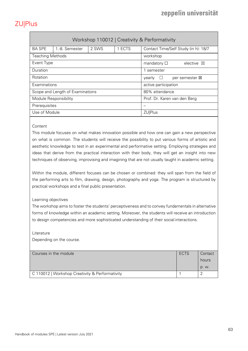# <span id="page-62-0"></span>ZU|Plus

<span id="page-62-1"></span>

| Workshop 110012   Creativity & Performativity |                |       |                      |                                             |  |  |  |
|-----------------------------------------------|----------------|-------|----------------------|---------------------------------------------|--|--|--|
| <b>BA SPE</b>                                 | 1.-8. Semester | 2 SWS | 1 ECTS               | Contact Time/Self Study (in h): 18/7        |  |  |  |
| <b>Teaching Methods</b>                       |                |       |                      | workshop                                    |  |  |  |
| Event Type                                    |                |       |                      | mandatory $\square$<br>elective $\boxtimes$ |  |  |  |
| Duration                                      |                |       | semester             |                                             |  |  |  |
| Rotation                                      |                |       |                      | per semester <b>図</b><br>vearly<br>$\Box$   |  |  |  |
| Examinations                                  |                |       | active participation |                                             |  |  |  |
| Scope and Length of Examinations              |                |       | 80% attendance       |                                             |  |  |  |
| Module Responsibility                         |                |       |                      | Prof. Dr. Karen van den Berg                |  |  |  |
| Prerequisites                                 |                |       |                      |                                             |  |  |  |
| Use of Module                                 |                |       | <b>ZU Plus</b>       |                                             |  |  |  |

### **Content**

This module focuses on what makes innovation possible and how one can gain a new perspective on what is common. The students will receive the possibility to put various forms of artistic and aesthetic knowledge to test in an experimental and performative setting. Employing strategies and ideas that derive from the practical interaction with their body, they will get an insight into new techniques of observing, improvising and imagining that are not usually taught in academic setting.

Within the module, different focuses can be chosen or combined: they will span from the field of the performing arts to film, drawing, design, photography and yoga. The program is structured by practical workshops and a final public presentation.

### Learning objectives

The workshop aims to foster the students' perceptiveness and to convey fundamentals in alternative forms of knowledge within an academic setting. Moreover, the students will receive an introduction to design competencies and more sophisticated understanding of their social interactions.

### Literature

Depending on the course.

| Courses in the module                           | ECTS | Contact |
|-------------------------------------------------|------|---------|
|                                                 |      | hours   |
|                                                 |      | p. w.   |
| C 110012   Workshop Creativity & Performativity |      |         |